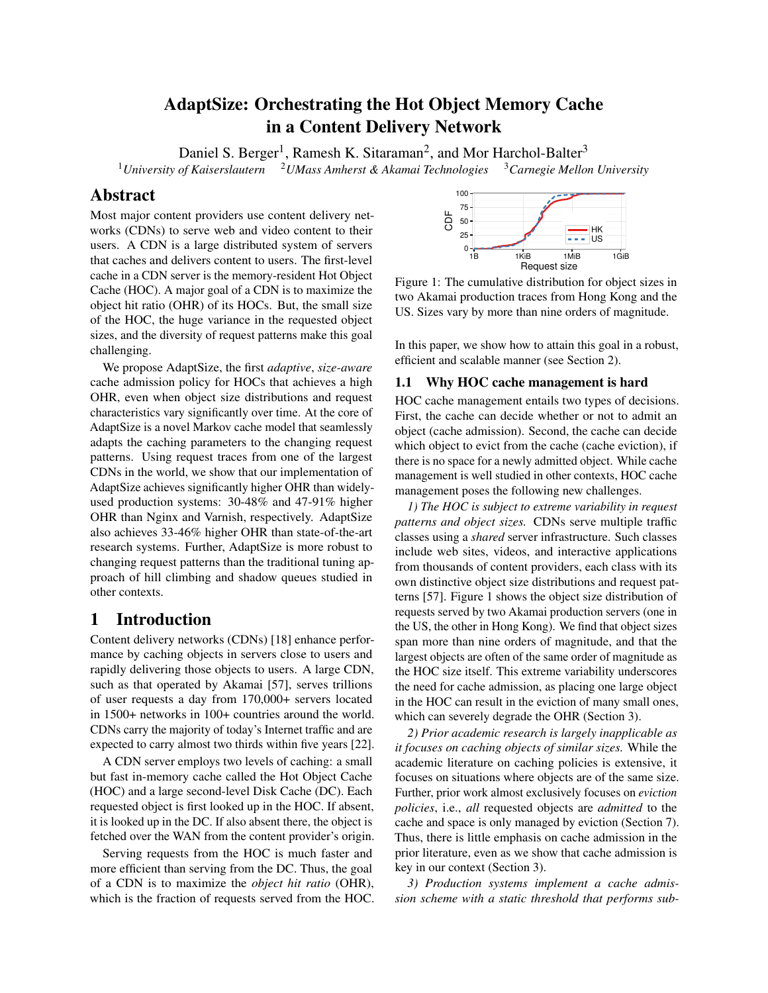# AdaptSize: Orchestrating the Hot Object Memory Cache in a Content Delivery Network

Daniel S. Berger<sup>1</sup>, Ramesh K. Sitaraman<sup>2</sup>, and Mor Harchol-Balter<sup>3</sup> <sup>1</sup>*University of Kaiserslautern* <sup>2</sup>*UMass Amherst & Akamai Technologies* <sup>3</sup>*Carnegie Mellon University*

# Abstract

Most major content providers use content delivery networks (CDNs) to serve web and video content to their users. A CDN is a large distributed system of servers that caches and delivers content to users. The first-level cache in a CDN server is the memory-resident Hot Object Cache (HOC). A major goal of a CDN is to maximize the object hit ratio (OHR) of its HOCs. But, the small size of the HOC, the huge variance in the requested object sizes, and the diversity of request patterns make this goal challenging.

We propose AdaptSize, the first *adaptive*, *size-aware* cache admission policy for HOCs that achieves a high OHR, even when object size distributions and request characteristics vary significantly over time. At the core of AdaptSize is a novel Markov cache model that seamlessly adapts the caching parameters to the changing request patterns. Using request traces from one of the largest CDNs in the world, we show that our implementation of AdaptSize achieves significantly higher OHR than widelyused production systems: 30-48% and 47-91% higher OHR than Nginx and Varnish, respectively. AdaptSize also achieves 33-46% higher OHR than state-of-the-art research systems. Further, AdaptSize is more robust to changing request patterns than the traditional tuning approach of hill climbing and shadow queues studied in other contexts.

# 1 Introduction

Content delivery networks (CDNs) [\[18\]](#page-13-0) enhance performance by caching objects in servers close to users and rapidly delivering those objects to users. A large CDN, such as that operated by Akamai [\[57\]](#page-14-0), serves trillions of user requests a day from 170,000+ servers located in 1500+ networks in 100+ countries around the world. CDNs carry the majority of today's Internet traffic and are expected to carry almost two thirds within five years [\[22\]](#page-13-1).

A CDN server employs two levels of caching: a small but fast in-memory cache called the Hot Object Cache (HOC) and a large second-level Disk Cache (DC). Each requested object is first looked up in the HOC. If absent, it is looked up in the DC. If also absent there, the object is fetched over the WAN from the content provider's origin.

Serving requests from the HOC is much faster and more efficient than serving from the DC. Thus, the goal of a CDN is to maximize the *object hit ratio* (OHR), which is the fraction of requests served from the HOC.

<span id="page-0-0"></span>

Figure 1: The cumulative distribution for object sizes in two Akamai production traces from Hong Kong and the US. Sizes vary by more than nine orders of magnitude.

In this paper, we show how to attain this goal in a robust, efficient and scalable manner (see Section [2\)](#page-2-0).

## 1.1 Why HOC cache management is hard

HOC cache management entails two types of decisions. First, the cache can decide whether or not to admit an object (cache admission). Second, the cache can decide which object to evict from the cache (cache eviction), if there is no space for a newly admitted object. While cache management is well studied in other contexts, HOC cache management poses the following new challenges.

*1) The HOC is subject to extreme variability in request patterns and object sizes.* CDNs serve multiple traffic classes using a *shared* server infrastructure. Such classes include web sites, videos, and interactive applications from thousands of content providers, each class with its own distinctive object size distributions and request patterns [\[57\]](#page-14-0). Figure [1](#page-0-0) shows the object size distribution of requests served by two Akamai production servers (one in the US, the other in Hong Kong). We find that object sizes span more than nine orders of magnitude, and that the largest objects are often of the same order of magnitude as the HOC size itself. This extreme variability underscores the need for cache admission, as placing one large object in the HOC can result in the eviction of many small ones, which can severely degrade the OHR (Section [3\)](#page-2-1).

*2) Prior academic research is largely inapplicable as it focuses on caching objects of similar sizes.* While the academic literature on caching policies is extensive, it focuses on situations where objects are of the same size. Further, prior work almost exclusively focuses on *eviction policies*, i.e., *all* requested objects are *admitted* to the cache and space is only managed by eviction (Section [7\)](#page-10-0). Thus, there is little emphasis on cache admission in the prior literature, even as we show that cache admission is key in our context (Section [3\)](#page-2-1).

*3) Production systems implement a cache admission scheme with a static threshold that performs sub-*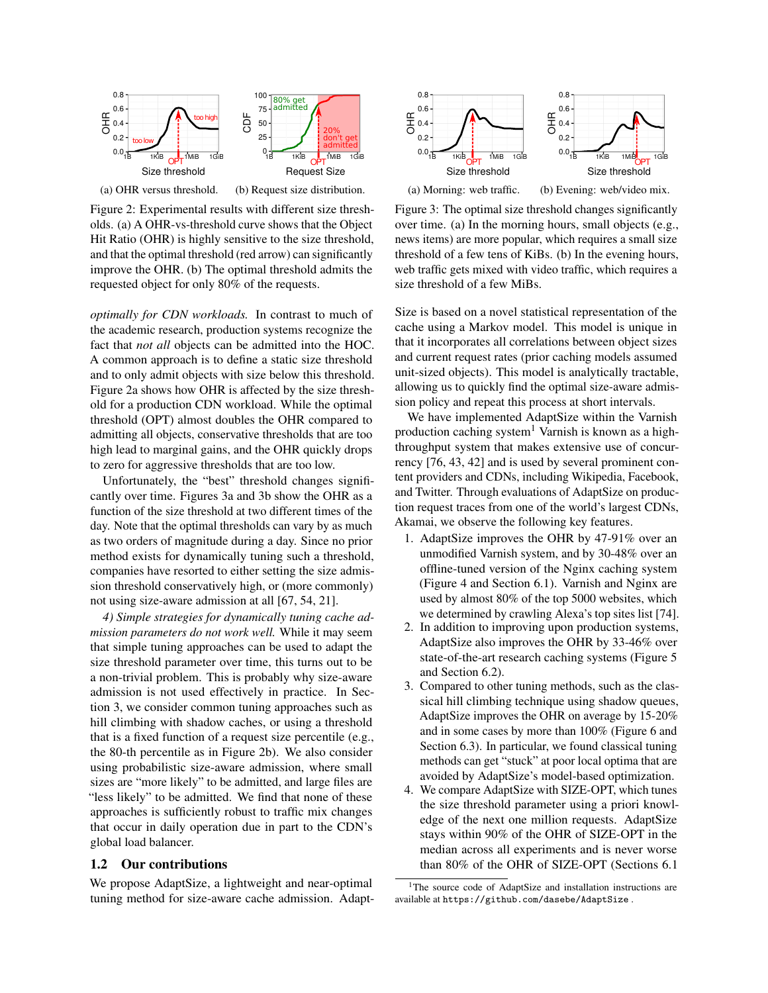<span id="page-1-0"></span>



(b) Request size distribution.

Figure 2: Experimental results with different size thresholds. (a) A OHR-vs-threshold curve shows that the Object Hit Ratio (OHR) is highly sensitive to the size threshold, and that the optimal threshold (red arrow) can significantly improve the OHR. (b) The optimal threshold admits the requested object for only 80% of the requests.

*optimally for CDN workloads.* In contrast to much of the academic research, production systems recognize the fact that *not all* objects can be admitted into the HOC. A common approach is to define a static size threshold and to only admit objects with size below this threshold. Figure [2a](#page-1-0) shows how OHR is affected by the size threshold for a production CDN workload. While the optimal threshold (OPT) almost doubles the OHR compared to admitting all objects, conservative thresholds that are too high lead to marginal gains, and the OHR quickly drops to zero for aggressive thresholds that are too low.

Unfortunately, the "best" threshold changes significantly over time. Figures [3a](#page-1-1) and [3b](#page-1-1) show the OHR as a function of the size threshold at two different times of the day. Note that the optimal thresholds can vary by as much as two orders of magnitude during a day. Since no prior method exists for dynamically tuning such a threshold, companies have resorted to either setting the size admission threshold conservatively high, or (more commonly) not using size-aware admission at all [\[67,](#page-15-0) [54,](#page-14-1) [21\]](#page-13-2).

*4) Simple strategies for dynamically tuning cache admission parameters do not work well.* While it may seem that simple tuning approaches can be used to adapt the size threshold parameter over time, this turns out to be a non-trivial problem. This is probably why size-aware admission is not used effectively in practice. In Section [3,](#page-2-1) we consider common tuning approaches such as hill climbing with shadow caches, or using a threshold that is a fixed function of a request size percentile (e.g., the 80-th percentile as in Figure [2b\)](#page-1-0). We also consider using probabilistic size-aware admission, where small sizes are "more likely" to be admitted, and large files are "less likely" to be admitted. We find that none of these approaches is sufficiently robust to traffic mix changes that occur in daily operation due in part to the CDN's global load balancer.

#### 1.2 Our contributions

We propose AdaptSize, a lightweight and near-optimal tuning method for size-aware cache admission. Adapt-

<span id="page-1-1"></span>

(a) Morning: web traffic.

(b) Evening: web/video mix.

Figure 3: The optimal size threshold changes significantly over time. (a) In the morning hours, small objects (e.g., news items) are more popular, which requires a small size threshold of a few tens of KiBs. (b) In the evening hours, web traffic gets mixed with video traffic, which requires a size threshold of a few MiBs.

Size is based on a novel statistical representation of the cache using a Markov model. This model is unique in that it incorporates all correlations between object sizes and current request rates (prior caching models assumed unit-sized objects). This model is analytically tractable, allowing us to quickly find the optimal size-aware admission policy and repeat this process at short intervals.

We have implemented AdaptSize within the Varnish production caching system<sup>[1](#page-1-2)</sup> Varnish is known as a highthroughput system that makes extensive use of concurrency [\[76,](#page-15-1) [43,](#page-14-2) [42\]](#page-14-3) and is used by several prominent content providers and CDNs, including Wikipedia, Facebook, and Twitter. Through evaluations of AdaptSize on production request traces from one of the world's largest CDNs, Akamai, we observe the following key features.

- 1. AdaptSize improves the OHR by 47-91% over an unmodified Varnish system, and by 30-48% over an offline-tuned version of the Nginx caching system (Figure [4](#page-2-2) and Section [6.1\)](#page-7-0). Varnish and Nginx are used by almost 80% of the top 5000 websites, which we determined by crawling Alexa's top sites list [\[74\]](#page-15-2).
- 2. In addition to improving upon production systems, AdaptSize also improves the OHR by 33-46% over state-of-the-art research caching systems (Figure [5](#page-2-3) and Section [6.2\)](#page-8-0).
- 3. Compared to other tuning methods, such as the classical hill climbing technique using shadow queues, AdaptSize improves the OHR on average by 15-20% and in some cases by more than 100% (Figure [6](#page-3-0) and Section [6.3\)](#page-8-1). In particular, we found classical tuning methods can get "stuck" at poor local optima that are avoided by AdaptSize's model-based optimization.
- 4. We compare AdaptSize with SIZE-OPT, which tunes the size threshold parameter using a priori knowledge of the next one million requests. AdaptSize stays within 90% of the OHR of SIZE-OPT in the median across all experiments and is never worse than 80% of the OHR of SIZE-OPT (Sections [6.1](#page-7-0)

<span id="page-1-2"></span><sup>&</sup>lt;sup>1</sup>The source code of AdaptSize and installation instructions are available at <https://github.com/dasebe/AdaptSize> .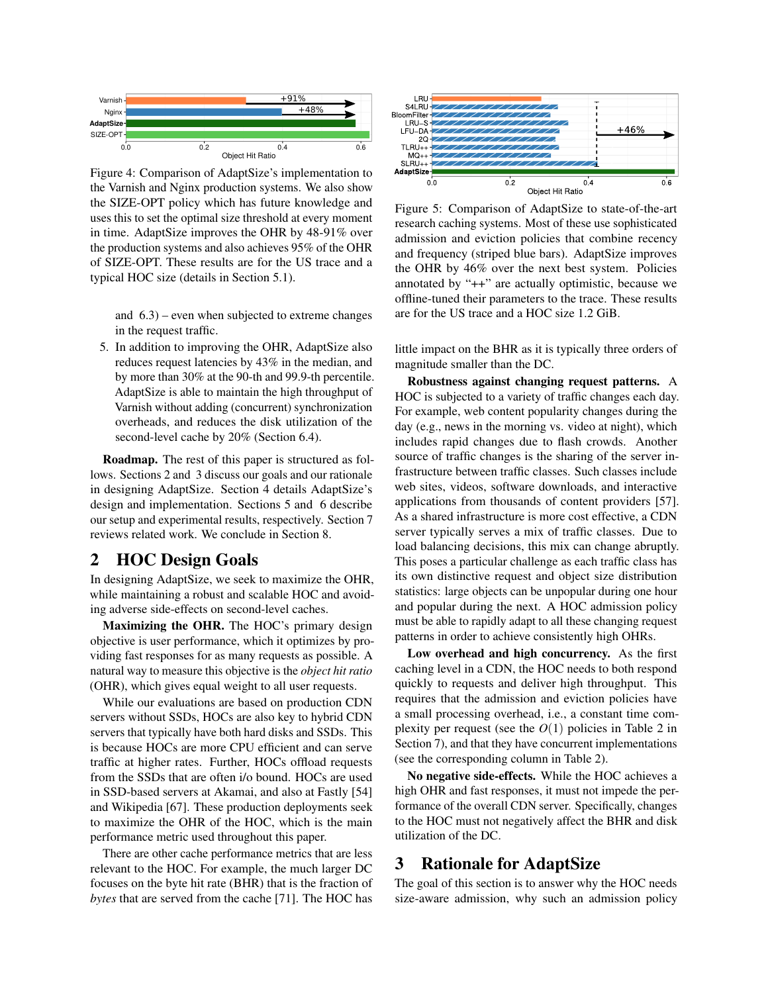<span id="page-2-2"></span>

Figure 4: Comparison of AdaptSize's implementation to the Varnish and Nginx production systems. We also show the SIZE-OPT policy which has future knowledge and uses this to set the optimal size threshold at every moment in time. AdaptSize improves the OHR by 48-91% over the production systems and also achieves 95% of the OHR of SIZE-OPT. These results are for the US trace and a typical HOC size (details in Section [5.1\)](#page-6-0).

and [6.3\)](#page-8-1) – even when subjected to extreme changes in the request traffic.

5. In addition to improving the OHR, AdaptSize also reduces request latencies by 43% in the median, and by more than 30% at the 90-th and 99.9-th percentile. AdaptSize is able to maintain the high throughput of Varnish without adding (concurrent) synchronization overheads, and reduces the disk utilization of the second-level cache by 20% (Section [6.4\)](#page-9-0).

Roadmap. The rest of this paper is structured as follows. Sections [2](#page-2-0) and [3](#page-2-1) discuss our goals and our rationale in designing AdaptSize. Section [4](#page-4-0) details AdaptSize's design and implementation. Sections [5](#page-6-1) and [6](#page-6-2) describe our setup and experimental results, respectively. Section [7](#page-10-0) reviews related work. We conclude in Section [8.](#page-11-0)

# <span id="page-2-0"></span>2 HOC Design Goals

In designing AdaptSize, we seek to maximize the OHR, while maintaining a robust and scalable HOC and avoiding adverse side-effects on second-level caches.

Maximizing the OHR. The HOC's primary design objective is user performance, which it optimizes by providing fast responses for as many requests as possible. A natural way to measure this objective is the *object hit ratio* (OHR), which gives equal weight to all user requests.

While our evaluations are based on production CDN servers without SSDs, HOCs are also key to hybrid CDN servers that typically have both hard disks and SSDs. This is because HOCs are more CPU efficient and can serve traffic at higher rates. Further, HOCs offload requests from the SSDs that are often i/o bound. HOCs are used in SSD-based servers at Akamai, and also at Fastly [\[54\]](#page-14-1) and Wikipedia [\[67\]](#page-15-0). These production deployments seek to maximize the OHR of the HOC, which is the main performance metric used throughout this paper.

There are other cache performance metrics that are less relevant to the HOC. For example, the much larger DC focuses on the byte hit rate (BHR) that is the fraction of *bytes* that are served from the cache [\[71\]](#page-15-3). The HOC has

<span id="page-2-3"></span>

Figure 5: Comparison of AdaptSize to state-of-the-art research caching systems. Most of these use sophisticated admission and eviction policies that combine recency and frequency (striped blue bars). AdaptSize improves the OHR by 46% over the next best system. Policies annotated by "++" are actually optimistic, because we offline-tuned their parameters to the trace. These results are for the US trace and a HOC size 1.2 GiB.

little impact on the BHR as it is typically three orders of magnitude smaller than the DC.

Robustness against changing request patterns. A HOC is subjected to a variety of traffic changes each day. For example, web content popularity changes during the day (e.g., news in the morning vs. video at night), which includes rapid changes due to flash crowds. Another source of traffic changes is the sharing of the server infrastructure between traffic classes. Such classes include web sites, videos, software downloads, and interactive applications from thousands of content providers [\[57\]](#page-14-0). As a shared infrastructure is more cost effective, a CDN server typically serves a mix of traffic classes. Due to load balancing decisions, this mix can change abruptly. This poses a particular challenge as each traffic class has its own distinctive request and object size distribution statistics: large objects can be unpopular during one hour and popular during the next. A HOC admission policy must be able to rapidly adapt to all these changing request patterns in order to achieve consistently high OHRs.

Low overhead and high concurrency. As the first caching level in a CDN, the HOC needs to both respond quickly to requests and deliver high throughput. This requires that the admission and eviction policies have a small processing overhead, i.e., a constant time complexity per request (see the  $O(1)$  policies in Table [2](#page-11-1) in Section [7\)](#page-10-0), and that they have concurrent implementations (see the corresponding column in Table [2\)](#page-11-1).

No negative side-effects. While the HOC achieves a high OHR and fast responses, it must not impede the performance of the overall CDN server. Specifically, changes to the HOC must not negatively affect the BHR and disk utilization of the DC.

# <span id="page-2-1"></span>3 Rationale for AdaptSize

The goal of this section is to answer why the HOC needs size-aware admission, why such an admission policy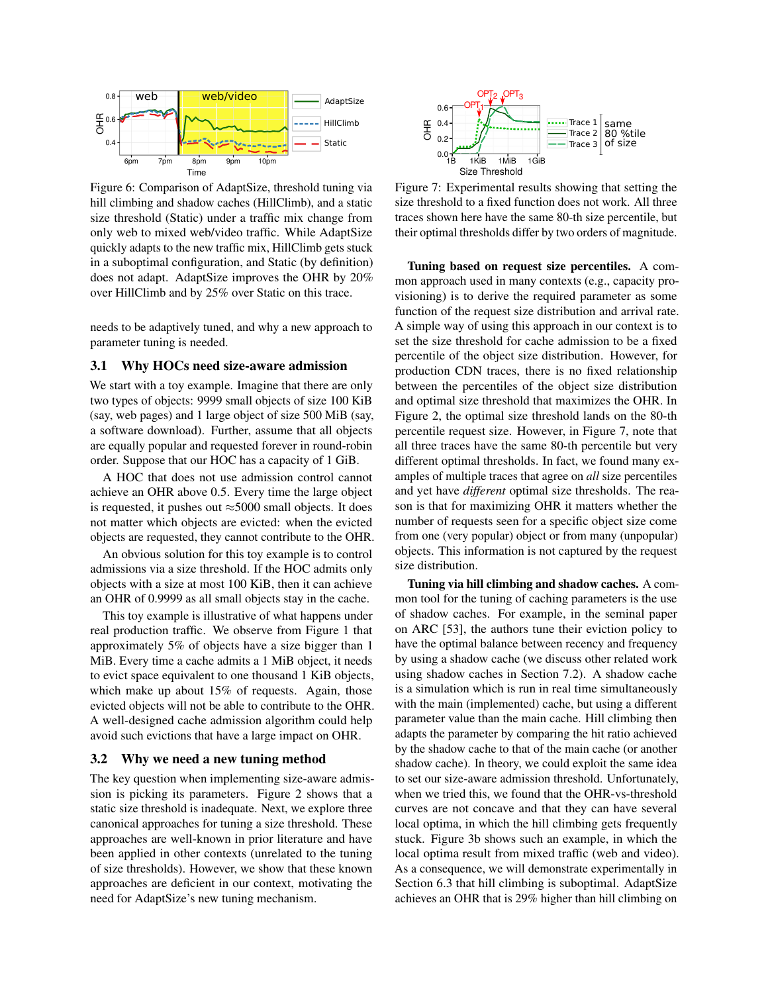<span id="page-3-0"></span>

Figure 6: Comparison of AdaptSize, threshold tuning via hill climbing and shadow caches (HillClimb), and a static size threshold (Static) under a traffic mix change from only web to mixed web/video traffic. While AdaptSize quickly adapts to the new traffic mix, HillClimb gets stuck in a suboptimal configuration, and Static (by definition) does not adapt. AdaptSize improves the OHR by 20% over HillClimb and by 25% over Static on this trace.

needs to be adaptively tuned, and why a new approach to parameter tuning is needed.

#### 3.1 Why HOCs need size-aware admission

We start with a toy example. Imagine that there are only two types of objects: 9999 small objects of size 100 KiB (say, web pages) and 1 large object of size 500 MiB (say, a software download). Further, assume that all objects are equally popular and requested forever in round-robin order. Suppose that our HOC has a capacity of 1 GiB.

A HOC that does not use admission control cannot achieve an OHR above 0.5. Every time the large object is requested, it pushes out  $\approx$  5000 small objects. It does not matter which objects are evicted: when the evicted objects are requested, they cannot contribute to the OHR.

An obvious solution for this toy example is to control admissions via a size threshold. If the HOC admits only objects with a size at most 100 KiB, then it can achieve an OHR of 0.9999 as all small objects stay in the cache.

This toy example is illustrative of what happens under real production traffic. We observe from Figure [1](#page-0-0) that approximately 5% of objects have a size bigger than 1 MiB. Every time a cache admits a 1 MiB object, it needs to evict space equivalent to one thousand 1 KiB objects, which make up about 15% of requests. Again, those evicted objects will not be able to contribute to the OHR. A well-designed cache admission algorithm could help avoid such evictions that have a large impact on OHR.

#### <span id="page-3-2"></span>3.2 Why we need a new tuning method

The key question when implementing size-aware admission is picking its parameters. Figure [2](#page-1-0) shows that a static size threshold is inadequate. Next, we explore three canonical approaches for tuning a size threshold. These approaches are well-known in prior literature and have been applied in other contexts (unrelated to the tuning of size thresholds). However, we show that these known approaches are deficient in our context, motivating the need for AdaptSize's new tuning mechanism.

<span id="page-3-1"></span>

Figure 7: Experimental results showing that setting the size threshold to a fixed function does not work. All three traces shown here have the same 80-th size percentile, but their optimal thresholds differ by two orders of magnitude.

Tuning based on request size percentiles. A common approach used in many contexts (e.g., capacity provisioning) is to derive the required parameter as some function of the request size distribution and arrival rate. A simple way of using this approach in our context is to set the size threshold for cache admission to be a fixed percentile of the object size distribution. However, for production CDN traces, there is no fixed relationship between the percentiles of the object size distribution and optimal size threshold that maximizes the OHR. In Figure [2,](#page-1-0) the optimal size threshold lands on the 80-th percentile request size. However, in Figure [7,](#page-3-1) note that all three traces have the same 80-th percentile but very different optimal thresholds. In fact, we found many examples of multiple traces that agree on *all* size percentiles and yet have *different* optimal size thresholds. The reason is that for maximizing OHR it matters whether the number of requests seen for a specific object size come from one (very popular) object or from many (unpopular) objects. This information is not captured by the request size distribution.

Tuning via hill climbing and shadow caches. A common tool for the tuning of caching parameters is the use of shadow caches. For example, in the seminal paper on ARC [\[53\]](#page-14-4), the authors tune their eviction policy to have the optimal balance between recency and frequency by using a shadow cache (we discuss other related work using shadow caches in Section [7.2\)](#page-10-1). A shadow cache is a simulation which is run in real time simultaneously with the main (implemented) cache, but using a different parameter value than the main cache. Hill climbing then adapts the parameter by comparing the hit ratio achieved by the shadow cache to that of the main cache (or another shadow cache). In theory, we could exploit the same idea to set our size-aware admission threshold. Unfortunately, when we tried this, we found that the OHR-vs-threshold curves are not concave and that they can have several local optima, in which the hill climbing gets frequently stuck. Figure [3b](#page-1-1) shows such an example, in which the local optima result from mixed traffic (web and video). As a consequence, we will demonstrate experimentally in Section [6.3](#page-8-1) that hill climbing is suboptimal. AdaptSize achieves an OHR that is 29% higher than hill climbing on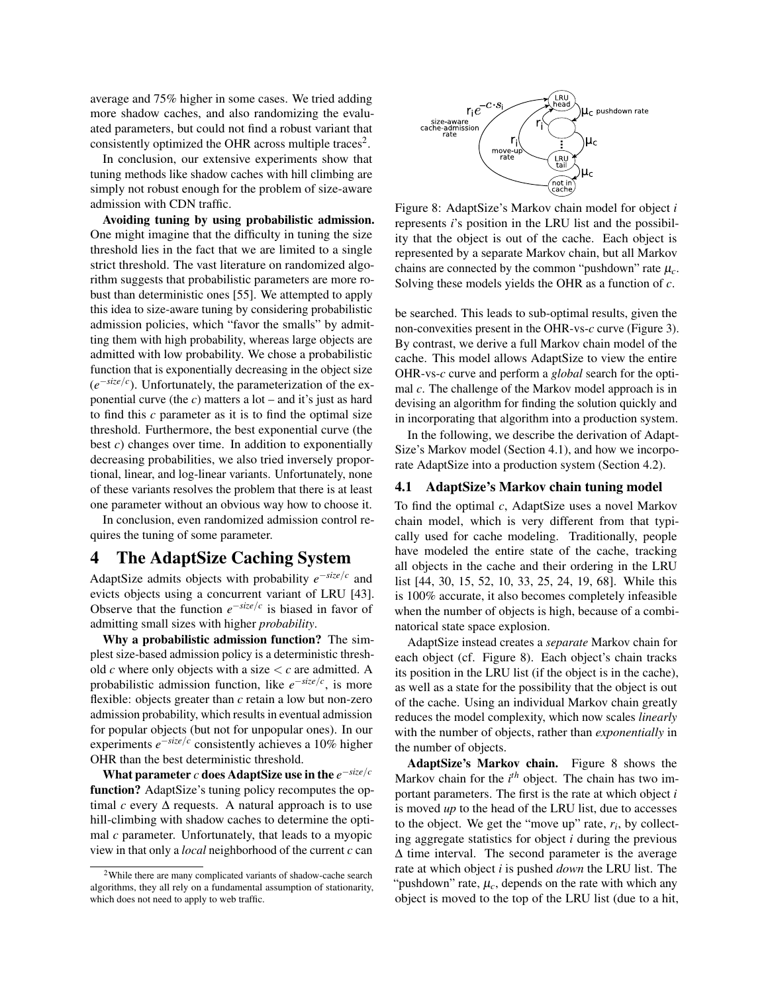average and 75% higher in some cases. We tried adding more shadow caches, and also randomizing the evaluated parameters, but could not find a robust variant that consistently optimized the OHR across multiple traces<sup>[2](#page-4-1)</sup>.

In conclusion, our extensive experiments show that tuning methods like shadow caches with hill climbing are simply not robust enough for the problem of size-aware admission with CDN traffic.

Avoiding tuning by using probabilistic admission. One might imagine that the difficulty in tuning the size threshold lies in the fact that we are limited to a single strict threshold. The vast literature on randomized algorithm suggests that probabilistic parameters are more robust than deterministic ones [\[55\]](#page-14-5). We attempted to apply this idea to size-aware tuning by considering probabilistic admission policies, which "favor the smalls" by admitting them with high probability, whereas large objects are admitted with low probability. We chose a probabilistic function that is exponentially decreasing in the object size (*e* −*size*/*c* ). Unfortunately, the parameterization of the exponential curve (the *c*) matters a lot – and it's just as hard to find this *c* parameter as it is to find the optimal size threshold. Furthermore, the best exponential curve (the best *c*) changes over time. In addition to exponentially decreasing probabilities, we also tried inversely proportional, linear, and log-linear variants. Unfortunately, none of these variants resolves the problem that there is at least one parameter without an obvious way how to choose it.

In conclusion, even randomized admission control requires the tuning of some parameter.

## <span id="page-4-0"></span>4 The AdaptSize Caching System

AdaptSize admits objects with probability *e* −*size*/*c* and evicts objects using a concurrent variant of LRU [\[43\]](#page-14-2). Observe that the function  $e^{-size/c}$  is biased in favor of admitting small sizes with higher *probability*.

Why a probabilistic admission function? The simplest size-based admission policy is a deterministic threshold  $c$  where only objects with a size  $\lt c$  are admitted. A probabilistic admission function, like *e* −*size*/*c* , is more flexible: objects greater than *c* retain a low but non-zero admission probability, which results in eventual admission for popular objects (but not for unpopular ones). In our experiments *e* −*size*/*c* consistently achieves a 10% higher OHR than the best deterministic threshold.

What parameter *c* does AdaptSize use in the *e* −*size*/*c* function? AdaptSize's tuning policy recomputes the optimal  $c$  every  $\Delta$  requests. A natural approach is to use hill-climbing with shadow caches to determine the optimal *c* parameter. Unfortunately, that leads to a myopic view in that only a *local* neighborhood of the current *c* can

<span id="page-4-3"></span>

Figure 8: AdaptSize's Markov chain model for object *i* represents *i*'s position in the LRU list and the possibility that the object is out of the cache. Each object is represented by a separate Markov chain, but all Markov chains are connected by the common "pushdown" rate  $\mu_c$ . Solving these models yields the OHR as a function of *c*.

be searched. This leads to sub-optimal results, given the non-convexities present in the OHR-vs-*c* curve (Figure [3\)](#page-1-1). By contrast, we derive a full Markov chain model of the cache. This model allows AdaptSize to view the entire OHR-vs-*c* curve and perform a *global* search for the optimal *c*. The challenge of the Markov model approach is in devising an algorithm for finding the solution quickly and in incorporating that algorithm into a production system.

In the following, we describe the derivation of Adapt-Size's Markov model (Section [4.1\)](#page-4-2), and how we incorporate AdaptSize into a production system (Section [4.2\)](#page-5-0).

### <span id="page-4-2"></span>4.1 AdaptSize's Markov chain tuning model

To find the optimal *c*, AdaptSize uses a novel Markov chain model, which is very different from that typically used for cache modeling. Traditionally, people have modeled the entire state of the cache, tracking all objects in the cache and their ordering in the LRU list [\[44,](#page-14-6) [30,](#page-13-3) [15,](#page-13-4) [52,](#page-14-7) [10,](#page-12-0) [33,](#page-13-5) [25,](#page-13-6) [24,](#page-13-7) [19,](#page-13-8) [68\]](#page-15-4). While this is 100% accurate, it also becomes completely infeasible when the number of objects is high, because of a combinatorical state space explosion.

AdaptSize instead creates a *separate* Markov chain for each object (cf. Figure [8\)](#page-4-3). Each object's chain tracks its position in the LRU list (if the object is in the cache), as well as a state for the possibility that the object is out of the cache. Using an individual Markov chain greatly reduces the model complexity, which now scales *linearly* with the number of objects, rather than *exponentially* in the number of objects.

AdaptSize's Markov chain. Figure [8](#page-4-3) shows the Markov chain for the *i th* object. The chain has two important parameters. The first is the rate at which object *i* is moved *up* to the head of the LRU list, due to accesses to the object. We get the "move up" rate,  $r_i$ , by collecting aggregate statistics for object *i* during the previous ∆ time interval. The second parameter is the average rate at which object *i* is pushed *down* the LRU list. The "pushdown" rate,  $\mu_c$ , depends on the rate with which any object is moved to the top of the LRU list (due to a hit,

<span id="page-4-1"></span><sup>2</sup>While there are many complicated variants of shadow-cache search algorithms, they all rely on a fundamental assumption of stationarity, which does not need to apply to web traffic.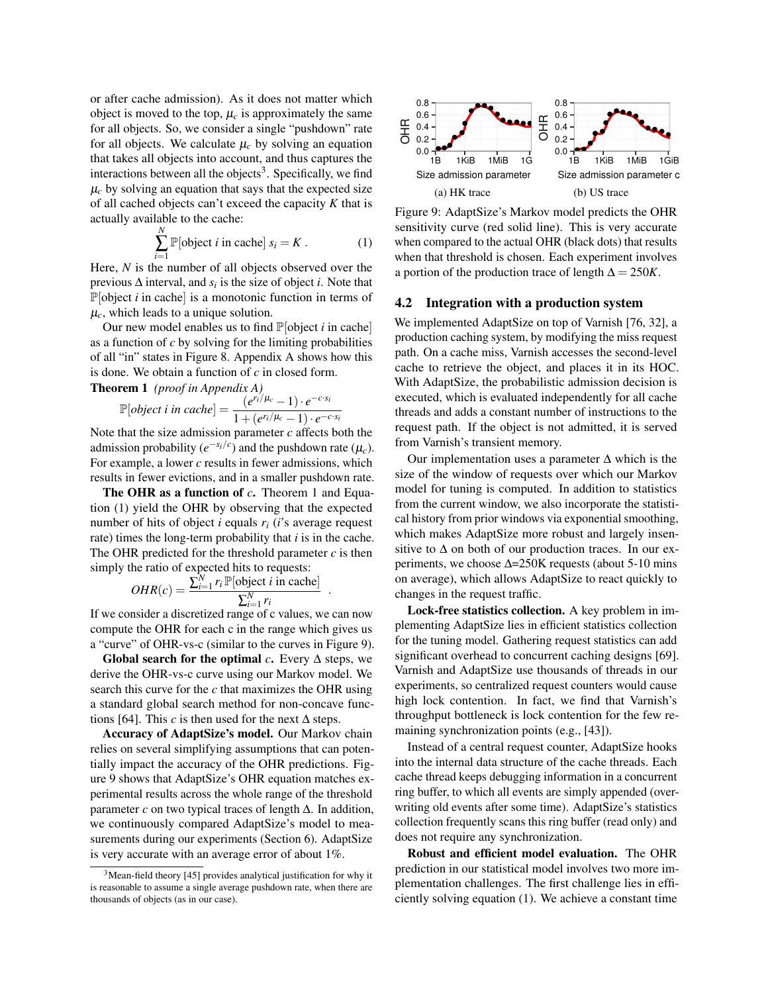or after cache admission). As it does not matter which object is moved to the top,  $\mu_c$  is approximately the same for all objects. So, we consider a single "pushdown" rate for all objects. We calculate  $\mu_c$  by solving an equation that takes all objects into account, and thus captures the interactions between all the objects<sup>[3](#page-5-1)</sup>. Specifically, we find  $\mu_c$  by solving an equation that says that the expected size of all cached objects can't exceed the capacity *K* that is actually available to the cache: *N*

$$
\sum_{i=1}^{N} \mathbb{P}[\text{object } i \text{ in cache}] s_i = K. \tag{1}
$$

Here, *N* is the number of all objects observed over the previous  $\Delta$  interval, and  $s_i$  is the size of object *i*. Note that  $\mathbb{P}[\text{object } i \text{ in cache}]$  is a monotonic function in terms of  $\mu_c$ , which leads to a unique solution.

Our new model enables us to find P[object *i* in cache] as a function of *c* by solving for the limiting probabilities of all "in" states in Figure [8.](#page-4-3) Appendix [A](#page-12-1) shows how this is done. We obtain a function of *c* in closed form.

<span id="page-5-2"></span>Theorem 1 *(proof in Appendix [A\)](#page-12-1)*

$$
\mathbb{P}[object\ i\ in\ cache] = \frac{(e^{r'_i/\mu_c}-1)\cdot e^{-c\cdot s_i}}{1+(e^{r_i/\mu_c}-1)\cdot e^{-c\cdot s_i}}
$$

Note that the size admission parameter *c* affects both the admission probability ( $e^{-s_i/c}$ ) and the pushdown rate ( $\mu_c$ ). For example, a lower *c* results in fewer admissions, which results in fewer evictions, and in a smaller pushdown rate.

The OHR as a function of *c*. Theorem [1](#page-5-2) and Equation [\(1\)](#page-5-3) yield the OHR by observing that the expected number of hits of object *i* equals *r<sup>i</sup>* (*i*'s average request rate) times the long-term probability that *i* is in the cache. The OHR predicted for the threshold parameter  $c$  is then simply the ratio of expected hits to requests:

$$
OHR(c) = \frac{\sum_{i=1}^{N} r_i \mathbb{P}[\text{object } i \text{ in cache}]}{\sum_{i=1}^{N} r_i}
$$

.

If we consider a discretized range of c values, we can now compute the OHR for each c in the range which gives us a "curve" of OHR-vs-c (similar to the curves in Figure [9\)](#page-5-4).

Global search for the optimal  $c$ . Every  $\Delta$  steps, we derive the OHR-vs-c curve using our Markov model. We search this curve for the *c* that maximizes the OHR using a standard global search method for non-concave func-tions [\[64\]](#page-15-5). This *c* is then used for the next  $\Delta$  steps.

Accuracy of AdaptSize's model. Our Markov chain relies on several simplifying assumptions that can potentially impact the accuracy of the OHR predictions. Figure [9](#page-5-4) shows that AdaptSize's OHR equation matches experimental results across the whole range of the threshold parameter  $c$  on two typical traces of length  $\Delta$ . In addition, we continuously compared AdaptSize's model to mea-surements during our experiments (Section [6\)](#page-6-2). AdaptSize is very accurate with an average error of about 1%.

<span id="page-5-4"></span>

<span id="page-5-3"></span>Figure 9: AdaptSize's Markov model predicts the OHR sensitivity curve (red solid line). This is very accurate when compared to the actual OHR (black dots) that results when that threshold is chosen. Each experiment involves a portion of the production trace of length  $\Delta = 250K$ .

### 4.2 Integration with a production system

We implemented AdaptSize on top of Varnish [\[76,](#page-15-1) [32\]](#page-13-9), a production caching system, by modifying the miss request path. On a cache miss, Varnish accesses the second-level cache to retrieve the object, and places it in its HOC. With AdaptSize, the probabilistic admission decision is executed, which is evaluated independently for all cache threads and adds a constant number of instructions to the request path. If the object is not admitted, it is served from Varnish's transient memory.

Our implementation uses a parameter  $\Delta$  which is the size of the window of requests over which our Markov model for tuning is computed. In addition to statistics from the current window, we also incorporate the statistical history from prior windows via exponential smoothing, which makes AdaptSize more robust and largely insensitive to  $\Delta$  on both of our production traces. In our experiments, we choose  $\Delta = 250K$  requests (about 5-10 mins on average), which allows AdaptSize to react quickly to changes in the request traffic.

Lock-free statistics collection. A key problem in implementing AdaptSize lies in efficient statistics collection for the tuning model. Gathering request statistics can add significant overhead to concurrent caching designs [\[69\]](#page-15-6). Varnish and AdaptSize use thousands of threads in our experiments, so centralized request counters would cause high lock contention. In fact, we find that Varnish's throughput bottleneck is lock contention for the few remaining synchronization points (e.g., [\[43\]](#page-14-2)).

Instead of a central request counter, AdaptSize hooks into the internal data structure of the cache threads. Each cache thread keeps debugging information in a concurrent ring buffer, to which all events are simply appended (overwriting old events after some time). AdaptSize's statistics collection frequently scans this ring buffer (read only) and does not require any synchronization.

Robust and efficient model evaluation. The OHR prediction in our statistical model involves two more implementation challenges. The first challenge lies in efficiently solving equation [\(1\)](#page-5-3). We achieve a constant time

<span id="page-5-1"></span><span id="page-5-0"></span><sup>3</sup>Mean-field theory [\[45\]](#page-14-8) provides analytical justification for why it is reasonable to assume a single average pushdown rate, when there are thousands of objects (as in our case).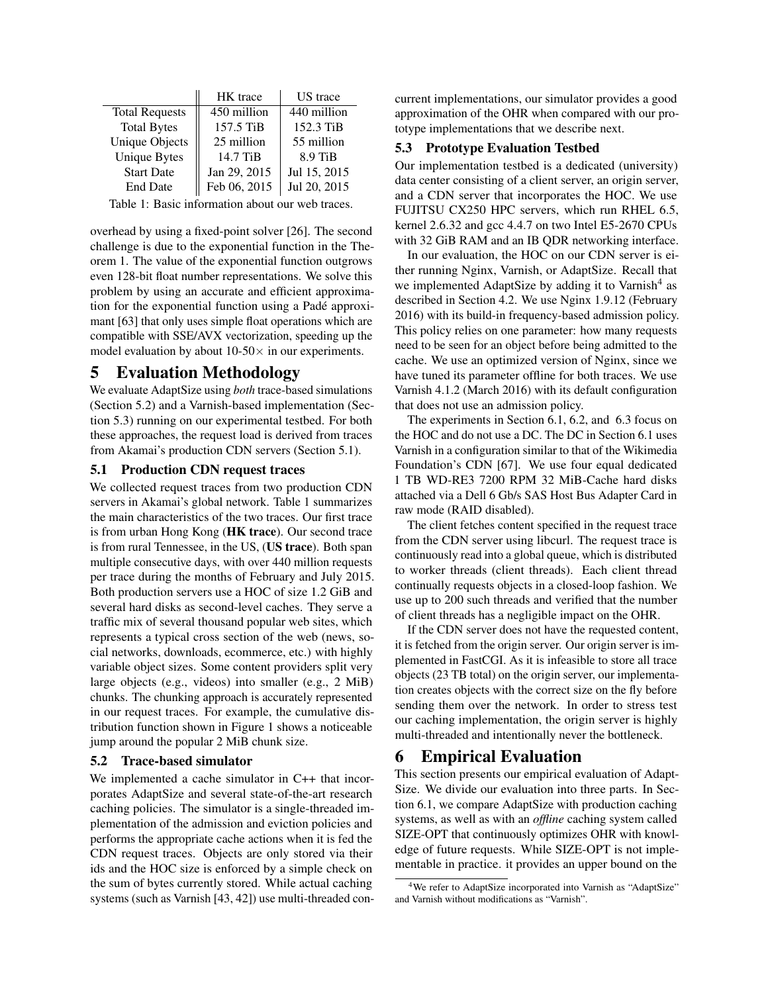<span id="page-6-5"></span>

|                                                 | HK trace<br>US trace |              |  |  |  |  |  |
|-------------------------------------------------|----------------------|--------------|--|--|--|--|--|
| <b>Total Requests</b>                           | 450 million          | 440 million  |  |  |  |  |  |
| <b>Total Bytes</b>                              | 157.5 TiB            | 152.3 TiB    |  |  |  |  |  |
| <b>Unique Objects</b>                           | 25 million           | 55 million   |  |  |  |  |  |
| <b>Unique Bytes</b>                             | 14.7 TiB             | 8.9 TiB      |  |  |  |  |  |
| <b>Start Date</b>                               | Jan 29, 2015         | Jul 15, 2015 |  |  |  |  |  |
| <b>End Date</b>                                 | Feb 06, 2015         | Jul 20, 2015 |  |  |  |  |  |
| Table 1: Degic information about our web treess |                      |              |  |  |  |  |  |

Table 1: Basic information about our web traces.

overhead by using a fixed-point solver [\[26\]](#page-13-10). The second challenge is due to the exponential function in the Theorem [1.](#page-5-2) The value of the exponential function outgrows even 128-bit float number representations. We solve this problem by using an accurate and efficient approximation for the exponential function using a Pade approxi- ´ mant [\[63\]](#page-15-7) that only uses simple float operations which are compatible with SSE/AVX vectorization, speeding up the model evaluation by about  $10-50\times$  in our experiments.

# <span id="page-6-1"></span>5 Evaluation Methodology

We evaluate AdaptSize using *both* trace-based simulations (Section [5.2\)](#page-6-3) and a Varnish-based implementation (Section [5.3\)](#page-6-4) running on our experimental testbed. For both these approaches, the request load is derived from traces from Akamai's production CDN servers (Section [5.1\)](#page-6-0).

## <span id="page-6-0"></span>5.1 Production CDN request traces

We collected request traces from two production CDN servers in Akamai's global network. Table [1](#page-6-5) summarizes the main characteristics of the two traces. Our first trace is from urban Hong Kong (HK trace). Our second trace is from rural Tennessee, in the US, (US trace). Both span multiple consecutive days, with over 440 million requests per trace during the months of February and July 2015. Both production servers use a HOC of size 1.2 GiB and several hard disks as second-level caches. They serve a traffic mix of several thousand popular web sites, which represents a typical cross section of the web (news, social networks, downloads, ecommerce, etc.) with highly variable object sizes. Some content providers split very large objects (e.g., videos) into smaller (e.g., 2 MiB) chunks. The chunking approach is accurately represented in our request traces. For example, the cumulative distribution function shown in Figure [1](#page-0-0) shows a noticeable jump around the popular 2 MiB chunk size.

## <span id="page-6-3"></span>5.2 Trace-based simulator

We implemented a cache simulator in C++ that incorporates AdaptSize and several state-of-the-art research caching policies. The simulator is a single-threaded implementation of the admission and eviction policies and performs the appropriate cache actions when it is fed the CDN request traces. Objects are only stored via their ids and the HOC size is enforced by a simple check on the sum of bytes currently stored. While actual caching systems (such as Varnish [\[43,](#page-14-2) [42\]](#page-14-3)) use multi-threaded concurrent implementations, our simulator provides a good approximation of the OHR when compared with our prototype implementations that we describe next.

## <span id="page-6-4"></span>5.3 Prototype Evaluation Testbed

Our implementation testbed is a dedicated (university) data center consisting of a client server, an origin server, and a CDN server that incorporates the HOC. We use FUJITSU CX250 HPC servers, which run RHEL 6.5, kernel 2.6.32 and gcc 4.4.7 on two Intel E5-2670 CPUs with 32 GiB RAM and an IB QDR networking interface.

In our evaluation, the HOC on our CDN server is either running Nginx, Varnish, or AdaptSize. Recall that we implemented AdaptSize by adding it to Varnish<sup>[4](#page-6-6)</sup> as described in Section [4.2.](#page-5-0) We use Nginx 1.9.12 (February 2016) with its build-in frequency-based admission policy. This policy relies on one parameter: how many requests need to be seen for an object before being admitted to the cache. We use an optimized version of Nginx, since we have tuned its parameter offline for both traces. We use Varnish 4.1.2 (March 2016) with its default configuration that does not use an admission policy.

The experiments in Section [6.1,](#page-7-0) [6.2,](#page-8-0) and [6.3](#page-8-1) focus on the HOC and do not use a DC. The DC in Section [6.1](#page-7-0) uses Varnish in a configuration similar to that of the Wikimedia Foundation's CDN [\[67\]](#page-15-0). We use four equal dedicated 1 TB WD-RE3 7200 RPM 32 MiB-Cache hard disks attached via a Dell 6 Gb/s SAS Host Bus Adapter Card in raw mode (RAID disabled).

The client fetches content specified in the request trace from the CDN server using libcurl. The request trace is continuously read into a global queue, which is distributed to worker threads (client threads). Each client thread continually requests objects in a closed-loop fashion. We use up to 200 such threads and verified that the number of client threads has a negligible impact on the OHR.

If the CDN server does not have the requested content, it is fetched from the origin server. Our origin server is implemented in FastCGI. As it is infeasible to store all trace objects (23 TB total) on the origin server, our implementation creates objects with the correct size on the fly before sending them over the network. In order to stress test our caching implementation, the origin server is highly multi-threaded and intentionally never the bottleneck.

# <span id="page-6-2"></span>6 Empirical Evaluation

This section presents our empirical evaluation of Adapt-Size. We divide our evaluation into three parts. In Section [6.1,](#page-7-0) we compare AdaptSize with production caching systems, as well as with an *offline* caching system called SIZE-OPT that continuously optimizes OHR with knowledge of future requests. While SIZE-OPT is not implementable in practice. it provides an upper bound on the

<span id="page-6-6"></span><sup>4</sup>We refer to AdaptSize incorporated into Varnish as "AdaptSize" and Varnish without modifications as "Varnish".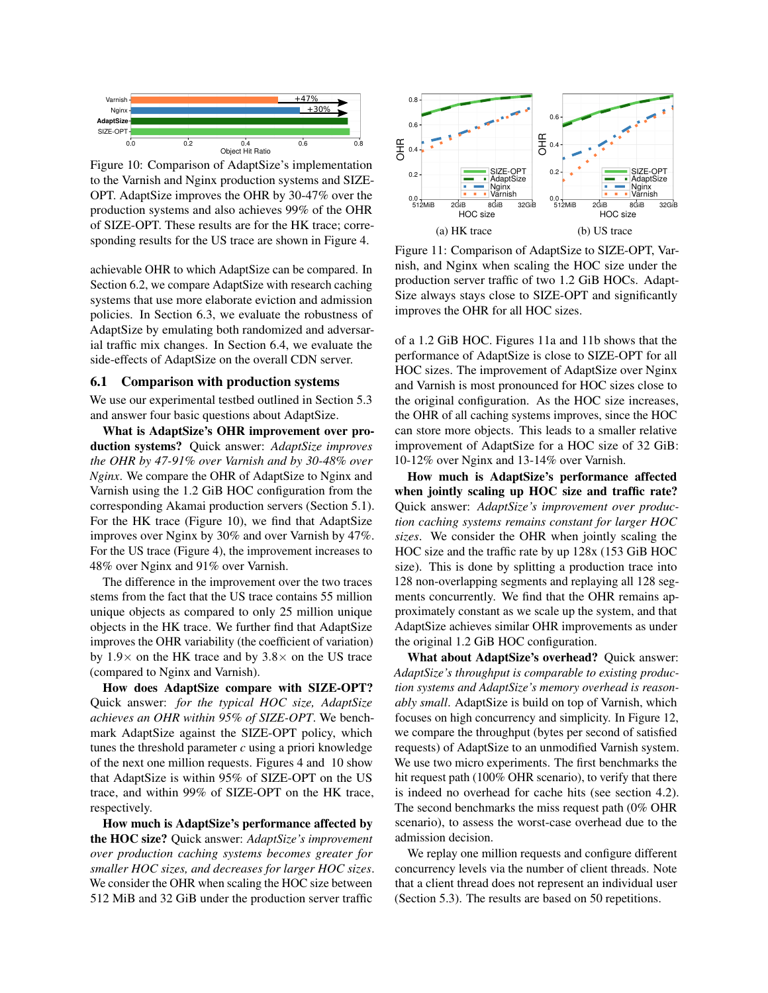<span id="page-7-1"></span>

Figure 10: Comparison of AdaptSize's implementation to the Varnish and Nginx production systems and SIZE-OPT. AdaptSize improves the OHR by 30-47% over the production systems and also achieves 99% of the OHR of SIZE-OPT. These results are for the HK trace; corresponding results for the US trace are shown in Figure [4.](#page-2-2)

achievable OHR to which AdaptSize can be compared. In Section [6.2,](#page-8-0) we compare AdaptSize with research caching systems that use more elaborate eviction and admission policies. In Section [6.3,](#page-8-1) we evaluate the robustness of AdaptSize by emulating both randomized and adversarial traffic mix changes. In Section [6.4,](#page-9-0) we evaluate the side-effects of AdaptSize on the overall CDN server.

#### <span id="page-7-0"></span>6.1 Comparison with production systems

We use our experimental testbed outlined in Section [5.3](#page-6-4) and answer four basic questions about AdaptSize.

What is AdaptSize's OHR improvement over production systems? Quick answer: *AdaptSize improves the OHR by 47-91% over Varnish and by 30-48% over Nginx*. We compare the OHR of AdaptSize to Nginx and Varnish using the 1.2 GiB HOC configuration from the corresponding Akamai production servers (Section [5.1\)](#page-6-0). For the HK trace (Figure [10\)](#page-7-1), we find that AdaptSize improves over Nginx by 30% and over Varnish by 47%. For the US trace (Figure [4\)](#page-2-2), the improvement increases to 48% over Nginx and 91% over Varnish.

The difference in the improvement over the two traces stems from the fact that the US trace contains 55 million unique objects as compared to only 25 million unique objects in the HK trace. We further find that AdaptSize improves the OHR variability (the coefficient of variation) by  $1.9\times$  on the HK trace and by  $3.8\times$  on the US trace (compared to Nginx and Varnish).

How does AdaptSize compare with SIZE-OPT? Quick answer: *for the typical HOC size, AdaptSize achieves an OHR within 95% of SIZE-OPT*. We benchmark AdaptSize against the SIZE-OPT policy, which tunes the threshold parameter *c* using a priori knowledge of the next one million requests. Figures [4](#page-2-2) and [10](#page-7-1) show that AdaptSize is within 95% of SIZE-OPT on the US trace, and within 99% of SIZE-OPT on the HK trace, respectively.

How much is AdaptSize's performance affected by the HOC size? Quick answer: *AdaptSize's improvement over production caching systems becomes greater for smaller HOC sizes, and decreases for larger HOC sizes*. We consider the OHR when scaling the HOC size between 512 MiB and 32 GiB under the production server traffic

<span id="page-7-2"></span>

Figure 11: Comparison of AdaptSize to SIZE-OPT, Varnish, and Nginx when scaling the HOC size under the production server traffic of two 1.2 GiB HOCs. Adapt-Size always stays close to SIZE-OPT and significantly improves the OHR for all HOC sizes.

of a 1.2 GiB HOC. Figures [11a](#page-7-2) and [11b](#page-7-2) shows that the performance of AdaptSize is close to SIZE-OPT for all HOC sizes. The improvement of AdaptSize over Nginx and Varnish is most pronounced for HOC sizes close to the original configuration. As the HOC size increases, the OHR of all caching systems improves, since the HOC can store more objects. This leads to a smaller relative improvement of AdaptSize for a HOC size of 32 GiB: 10-12% over Nginx and 13-14% over Varnish.

How much is AdaptSize's performance affected when jointly scaling up HOC size and traffic rate? Quick answer: *AdaptSize's improvement over production caching systems remains constant for larger HOC sizes*. We consider the OHR when jointly scaling the HOC size and the traffic rate by up 128x (153 GiB HOC size). This is done by splitting a production trace into 128 non-overlapping segments and replaying all 128 segments concurrently. We find that the OHR remains approximately constant as we scale up the system, and that AdaptSize achieves similar OHR improvements as under the original 1.2 GiB HOC configuration.

What about AdaptSize's overhead? Quick answer: *AdaptSize's throughput is comparable to existing production systems and AdaptSize's memory overhead is reasonably small*. AdaptSize is build on top of Varnish, which focuses on high concurrency and simplicity. In Figure [12,](#page-8-2) we compare the throughput (bytes per second of satisfied requests) of AdaptSize to an unmodified Varnish system. We use two micro experiments. The first benchmarks the hit request path (100% OHR scenario), to verify that there is indeed no overhead for cache hits (see section [4.2\)](#page-5-0). The second benchmarks the miss request path (0% OHR scenario), to assess the worst-case overhead due to the admission decision.

We replay one million requests and configure different concurrency levels via the number of client threads. Note that a client thread does not represent an individual user (Section [5.3\)](#page-6-4). The results are based on 50 repetitions.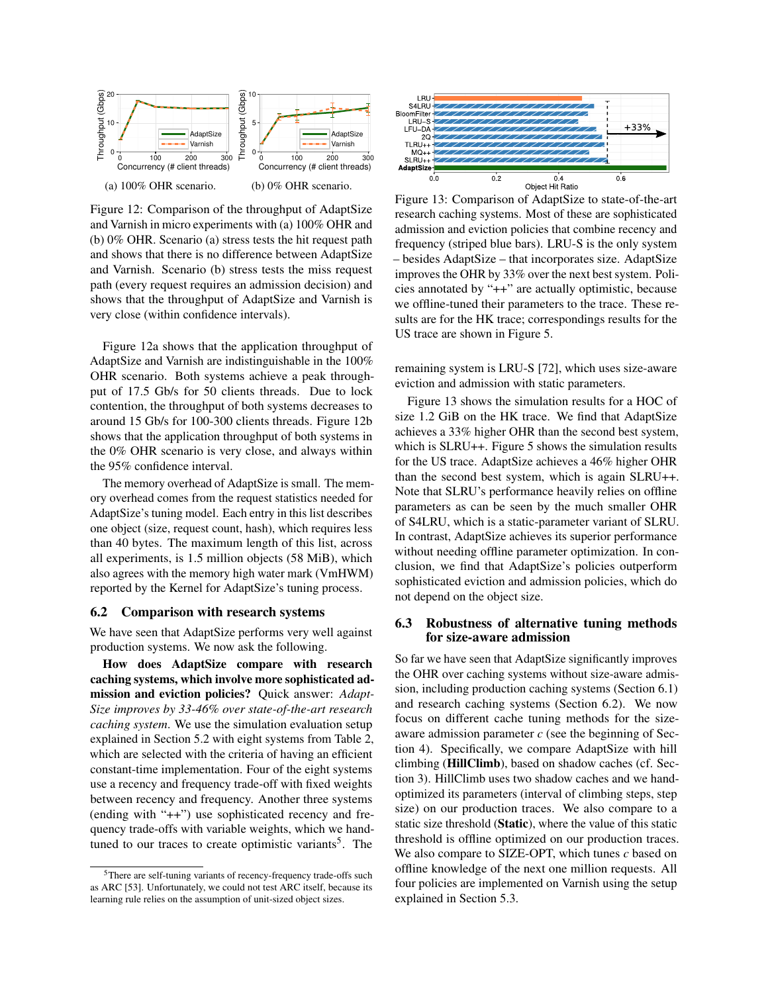<span id="page-8-2"></span>

Figure 12: Comparison of the throughput of AdaptSize and Varnish in micro experiments with (a) 100% OHR and (b) 0% OHR. Scenario (a) stress tests the hit request path and shows that there is no difference between AdaptSize and Varnish. Scenario (b) stress tests the miss request path (every request requires an admission decision) and shows that the throughput of AdaptSize and Varnish is very close (within confidence intervals).

Figure [12a](#page-8-2) shows that the application throughput of AdaptSize and Varnish are indistinguishable in the 100% OHR scenario. Both systems achieve a peak throughput of 17.5 Gb/s for 50 clients threads. Due to lock contention, the throughput of both systems decreases to around 15 Gb/s for 100-300 clients threads. Figure [12b](#page-8-2) shows that the application throughput of both systems in the 0% OHR scenario is very close, and always within the 95% confidence interval.

The memory overhead of AdaptSize is small. The memory overhead comes from the request statistics needed for AdaptSize's tuning model. Each entry in this list describes one object (size, request count, hash), which requires less than 40 bytes. The maximum length of this list, across all experiments, is 1.5 million objects (58 MiB), which also agrees with the memory high water mark (VmHWM) reported by the Kernel for AdaptSize's tuning process.

#### <span id="page-8-0"></span>6.2 Comparison with research systems

We have seen that AdaptSize performs very well against production systems. We now ask the following.

How does AdaptSize compare with research caching systems, which involve more sophisticated admission and eviction policies? Quick answer: *Adapt-Size improves by 33-46% over state-of-the-art research caching system*. We use the simulation evaluation setup explained in Section [5.2](#page-6-3) with eight systems from Table [2,](#page-11-1) which are selected with the criteria of having an efficient constant-time implementation. Four of the eight systems use a recency and frequency trade-off with fixed weights between recency and frequency. Another three systems (ending with "++") use sophisticated recency and frequency trade-offs with variable weights, which we hand-tuned to our traces to create optimistic variants<sup>[5](#page-8-3)</sup>. The

<span id="page-8-4"></span>

Figure 13: Comparison of AdaptSize to state-of-the-art research caching systems. Most of these are sophisticated admission and eviction policies that combine recency and frequency (striped blue bars). LRU-S is the only system – besides AdaptSize – that incorporates size. AdaptSize improves the OHR by 33% over the next best system. Policies annotated by "++" are actually optimistic, because we offline-tuned their parameters to the trace. These results are for the HK trace; correspondings results for the US trace are shown in Figure [5.](#page-2-3)

remaining system is LRU-S [\[72\]](#page-15-8), which uses size-aware eviction and admission with static parameters.

Figure [13](#page-8-4) shows the simulation results for a HOC of size 1.2 GiB on the HK trace. We find that AdaptSize achieves a 33% higher OHR than the second best system, which is SLRU++. Figure [5](#page-2-3) shows the simulation results for the US trace. AdaptSize achieves a 46% higher OHR than the second best system, which is again SLRU++. Note that SLRU's performance heavily relies on offline parameters as can be seen by the much smaller OHR of S4LRU, which is a static-parameter variant of SLRU. In contrast, AdaptSize achieves its superior performance without needing offline parameter optimization. In conclusion, we find that AdaptSize's policies outperform sophisticated eviction and admission policies, which do not depend on the object size.

### <span id="page-8-1"></span>6.3 Robustness of alternative tuning methods for size-aware admission

So far we have seen that AdaptSize significantly improves the OHR over caching systems without size-aware admission, including production caching systems (Section [6.1\)](#page-7-0) and research caching systems (Section [6.2\)](#page-8-0). We now focus on different cache tuning methods for the sizeaware admission parameter *c* (see the beginning of Section [4\)](#page-4-0). Specifically, we compare AdaptSize with hill climbing (HillClimb), based on shadow caches (cf. Section [3\)](#page-2-1). HillClimb uses two shadow caches and we handoptimized its parameters (interval of climbing steps, step size) on our production traces. We also compare to a static size threshold (Static), where the value of this static threshold is offline optimized on our production traces. We also compare to SIZE-OPT, which tunes *c* based on offline knowledge of the next one million requests. All four policies are implemented on Varnish using the setup explained in Section [5.3.](#page-6-4)

<span id="page-8-3"></span><sup>5</sup>There are self-tuning variants of recency-frequency trade-offs such as ARC [\[53\]](#page-14-4). Unfortunately, we could not test ARC itself, because its learning rule relies on the assumption of unit-sized object sizes.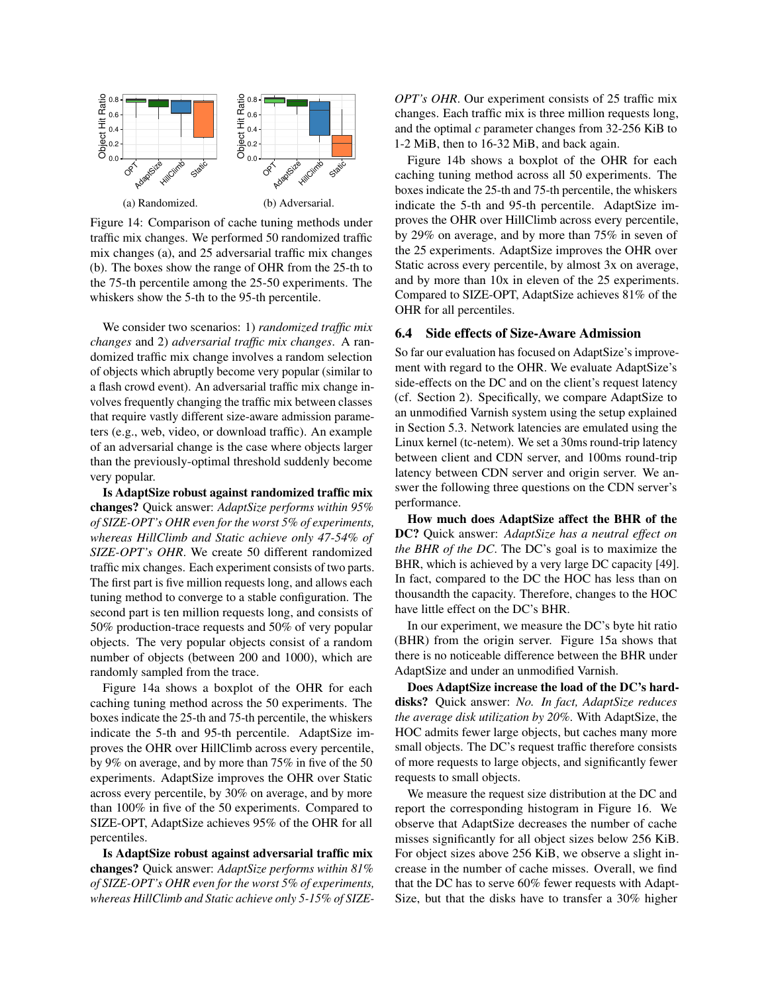<span id="page-9-1"></span>

Figure 14: Comparison of cache tuning methods under traffic mix changes. We performed 50 randomized traffic mix changes (a), and 25 adversarial traffic mix changes (b). The boxes show the range of OHR from the 25-th to the 75-th percentile among the 25-50 experiments. The whiskers show the 5-th to the 95-th percentile.

We consider two scenarios: 1) *randomized traffic mix changes* and 2) *adversarial traffic mix changes*. A randomized traffic mix change involves a random selection of objects which abruptly become very popular (similar to a flash crowd event). An adversarial traffic mix change involves frequently changing the traffic mix between classes that require vastly different size-aware admission parameters (e.g., web, video, or download traffic). An example of an adversarial change is the case where objects larger than the previously-optimal threshold suddenly become very popular.

Is AdaptSize robust against randomized traffic mix changes? Quick answer: *AdaptSize performs within 95% of SIZE-OPT's OHR even for the worst 5% of experiments, whereas HillClimb and Static achieve only 47-54% of SIZE-OPT's OHR*. We create 50 different randomized traffic mix changes. Each experiment consists of two parts. The first part is five million requests long, and allows each tuning method to converge to a stable configuration. The second part is ten million requests long, and consists of 50% production-trace requests and 50% of very popular objects. The very popular objects consist of a random number of objects (between 200 and 1000), which are randomly sampled from the trace.

Figure [14a](#page-9-1) shows a boxplot of the OHR for each caching tuning method across the 50 experiments. The boxes indicate the 25-th and 75-th percentile, the whiskers indicate the 5-th and 95-th percentile. AdaptSize improves the OHR over HillClimb across every percentile, by 9% on average, and by more than 75% in five of the 50 experiments. AdaptSize improves the OHR over Static across every percentile, by 30% on average, and by more than 100% in five of the 50 experiments. Compared to SIZE-OPT, AdaptSize achieves 95% of the OHR for all percentiles.

Is AdaptSize robust against adversarial traffic mix changes? Quick answer: *AdaptSize performs within 81% of SIZE-OPT's OHR even for the worst 5% of experiments, whereas HillClimb and Static achieve only 5-15% of SIZE-*

*OPT's OHR*. Our experiment consists of 25 traffic mix changes. Each traffic mix is three million requests long, and the optimal *c* parameter changes from 32-256 KiB to 1-2 MiB, then to 16-32 MiB, and back again.

Figure [14b](#page-9-1) shows a boxplot of the OHR for each caching tuning method across all 50 experiments. The boxes indicate the 25-th and 75-th percentile, the whiskers indicate the 5-th and 95-th percentile. AdaptSize improves the OHR over HillClimb across every percentile, by 29% on average, and by more than 75% in seven of the 25 experiments. AdaptSize improves the OHR over Static across every percentile, by almost 3x on average, and by more than 10x in eleven of the 25 experiments. Compared to SIZE-OPT, AdaptSize achieves 81% of the OHR for all percentiles.

### <span id="page-9-0"></span>6.4 Side effects of Size-Aware Admission

So far our evaluation has focused on AdaptSize's improvement with regard to the OHR. We evaluate AdaptSize's side-effects on the DC and on the client's request latency (cf. Section [2\)](#page-2-0). Specifically, we compare AdaptSize to an unmodified Varnish system using the setup explained in Section [5.3.](#page-6-4) Network latencies are emulated using the Linux kernel (tc-netem). We set a 30ms round-trip latency between client and CDN server, and 100ms round-trip latency between CDN server and origin server. We answer the following three questions on the CDN server's performance.

How much does AdaptSize affect the BHR of the DC? Quick answer: *AdaptSize has a neutral effect on the BHR of the DC*. The DC's goal is to maximize the BHR, which is achieved by a very large DC capacity [\[49\]](#page-14-9). In fact, compared to the DC the HOC has less than on thousandth the capacity. Therefore, changes to the HOC have little effect on the DC's BHR.

In our experiment, we measure the DC's byte hit ratio (BHR) from the origin server. Figure [15a](#page-10-2) shows that there is no noticeable difference between the BHR under AdaptSize and under an unmodified Varnish.

Does AdaptSize increase the load of the DC's harddisks? Quick answer: *No. In fact, AdaptSize reduces the average disk utilization by 20%*. With AdaptSize, the HOC admits fewer large objects, but caches many more small objects. The DC's request traffic therefore consists of more requests to large objects, and significantly fewer requests to small objects.

We measure the request size distribution at the DC and report the corresponding histogram in Figure [16.](#page-10-3) We observe that AdaptSize decreases the number of cache misses significantly for all object sizes below 256 KiB. For object sizes above 256 KiB, we observe a slight increase in the number of cache misses. Overall, we find that the DC has to serve 60% fewer requests with Adapt-Size, but that the disks have to transfer a 30% higher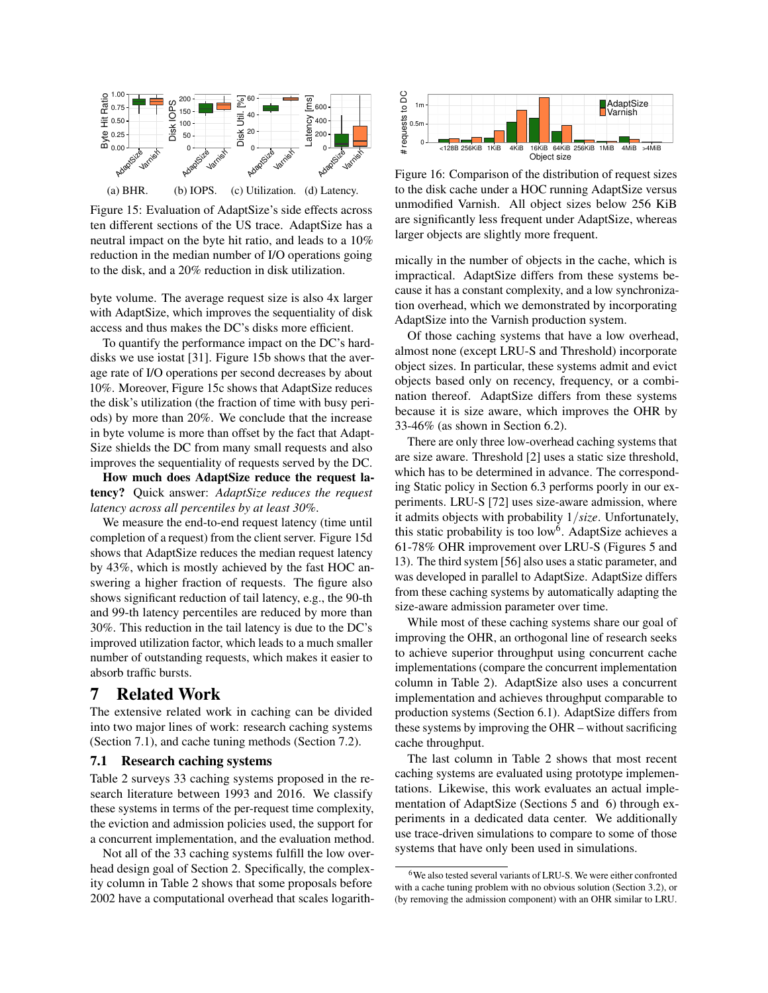<span id="page-10-2"></span>

(a) BHR. (b) IOPS. (c) Utilization. (d) Latency.

Figure 15: Evaluation of AdaptSize's side effects across ten different sections of the US trace. AdaptSize has a neutral impact on the byte hit ratio, and leads to a 10% reduction in the median number of I/O operations going to the disk, and a 20% reduction in disk utilization.

byte volume. The average request size is also 4x larger with AdaptSize, which improves the sequentiality of disk access and thus makes the DC's disks more efficient.

To quantify the performance impact on the DC's harddisks we use iostat [\[31\]](#page-13-11). Figure [15b](#page-10-2) shows that the average rate of I/O operations per second decreases by about 10%. Moreover, Figure [15c](#page-10-2) shows that AdaptSize reduces the disk's utilization (the fraction of time with busy periods) by more than 20%. We conclude that the increase in byte volume is more than offset by the fact that Adapt-Size shields the DC from many small requests and also improves the sequentiality of requests served by the DC.

How much does AdaptSize reduce the request latency? Quick answer: *AdaptSize reduces the request latency across all percentiles by at least 30%*.

We measure the end-to-end request latency (time until completion of a request) from the client server. Figure [15d](#page-10-2) shows that AdaptSize reduces the median request latency by 43%, which is mostly achieved by the fast HOC answering a higher fraction of requests. The figure also shows significant reduction of tail latency, e.g., the 90-th and 99-th latency percentiles are reduced by more than 30%. This reduction in the tail latency is due to the DC's improved utilization factor, which leads to a much smaller number of outstanding requests, which makes it easier to absorb traffic bursts.

## <span id="page-10-0"></span>7 Related Work

The extensive related work in caching can be divided into two major lines of work: research caching systems (Section [7.1\)](#page-10-4), and cache tuning methods (Section [7.2\)](#page-10-1).

#### <span id="page-10-4"></span>7.1 Research caching systems

Table [2](#page-11-1) surveys 33 caching systems proposed in the research literature between 1993 and 2016. We classify these systems in terms of the per-request time complexity, the eviction and admission policies used, the support for a concurrent implementation, and the evaluation method.

Not all of the 33 caching systems fulfill the low overhead design goal of Section [2.](#page-2-0) Specifically, the complexity column in Table [2](#page-11-1) shows that some proposals before 2002 have a computational overhead that scales logarith-

<span id="page-10-3"></span>

Figure 16: Comparison of the distribution of request sizes to the disk cache under a HOC running AdaptSize versus unmodified Varnish. All object sizes below 256 KiB are significantly less frequent under AdaptSize, whereas larger objects are slightly more frequent.

mically in the number of objects in the cache, which is impractical. AdaptSize differs from these systems because it has a constant complexity, and a low synchronization overhead, which we demonstrated by incorporating AdaptSize into the Varnish production system.

Of those caching systems that have a low overhead, almost none (except LRU-S and Threshold) incorporate object sizes. In particular, these systems admit and evict objects based only on recency, frequency, or a combination thereof. AdaptSize differs from these systems because it is size aware, which improves the OHR by 33-46% (as shown in Section [6.2\)](#page-8-0).

There are only three low-overhead caching systems that are size aware. Threshold [\[2\]](#page-12-2) uses a static size threshold, which has to be determined in advance. The corresponding Static policy in Section [6.3](#page-8-1) performs poorly in our experiments. LRU-S [\[72\]](#page-15-8) uses size-aware admission, where it admits objects with probability 1/*size*. Unfortunately, this static probability is too low<sup>[6](#page-10-5)</sup>. AdaptSize achieves a 61-78% OHR improvement over LRU-S (Figures [5](#page-2-3) and [13\)](#page-8-4). The third system [\[56\]](#page-14-10) also uses a static parameter, and was developed in parallel to AdaptSize. AdaptSize differs from these caching systems by automatically adapting the size-aware admission parameter over time.

While most of these caching systems share our goal of improving the OHR, an orthogonal line of research seeks to achieve superior throughput using concurrent cache implementations (compare the concurrent implementation column in Table [2\)](#page-11-1). AdaptSize also uses a concurrent implementation and achieves throughput comparable to production systems (Section [6.1\)](#page-7-0). AdaptSize differs from these systems by improving the OHR – without sacrificing cache throughput.

The last column in Table [2](#page-11-1) shows that most recent caching systems are evaluated using prototype implementations. Likewise, this work evaluates an actual implementation of AdaptSize (Sections [5](#page-6-1) and [6\)](#page-6-2) through experiments in a dedicated data center. We additionally use trace-driven simulations to compare to some of those systems that have only been used in simulations.

<span id="page-10-5"></span><span id="page-10-1"></span><sup>6</sup>We also tested several variants of LRU-S. We were either confronted with a cache tuning problem with no obvious solution (Section [3.2\)](#page-3-2), or (by removing the admission component) with an OHR similar to LRU.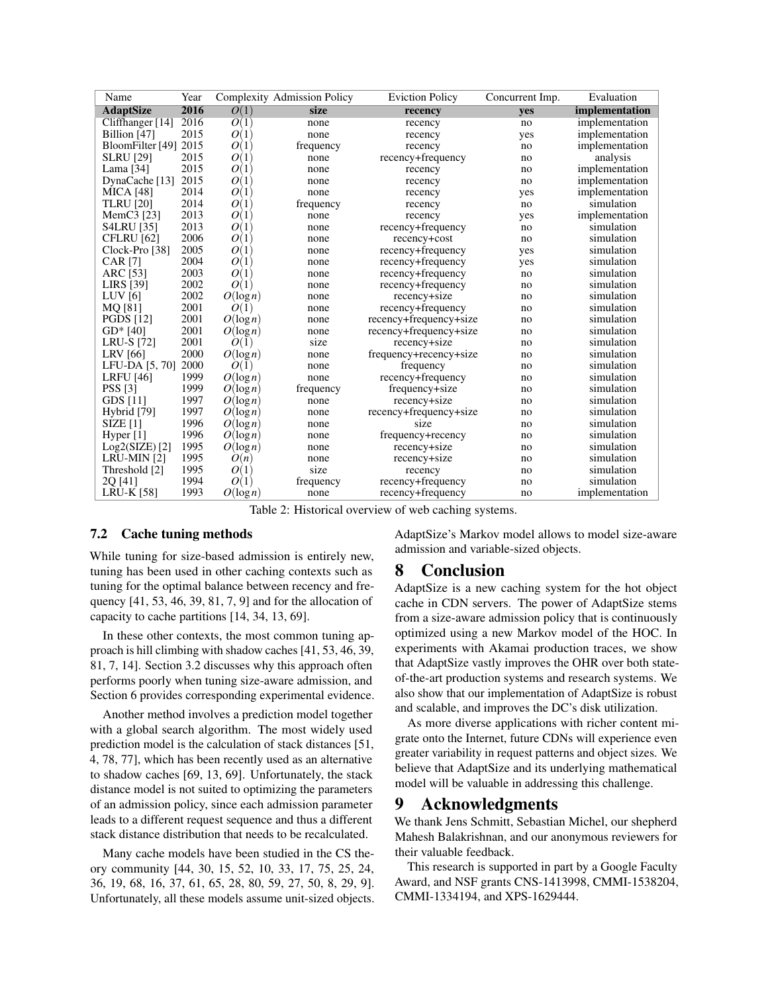<span id="page-11-1"></span>

| Name                   | Year |                                | Complexity Admission Policy | <b>Eviction Policy</b> | Concurrent Imp. | Evaluation     |
|------------------------|------|--------------------------------|-----------------------------|------------------------|-----------------|----------------|
| <b>AdaptSize</b>       | 2016 | O(1)                           | size                        | recency                | ves             | implementation |
| Cliffhanger [14]       | 2016 | O(1)                           | none                        | recency                | no              | implementation |
| Billion [47]           | 2015 | O(1)                           | none                        | recency                | yes             | implementation |
| BloomFilter [49]       | 2015 | O(1)                           | frequency                   | recency                | no              | implementation |
| <b>SLRU</b> [29]       | 2015 | O(<br>1                        | none                        | recency+frequency      | no              | analysis       |
| Lama $[34]$            | 2015 | $\overline{O}$<br>$\mathbf{1}$ | none                        | recency                | no              | implementation |
| DynaCache [13]         | 2015 | O(<br>T                        | none                        | recency                | no              | implementation |
| <b>MICA</b> [48]       | 2014 | O(1)                           | none                        | recency                | yes             | implementation |
| <b>TLRU</b> [20]       | 2014 | O(1)                           | frequency                   | recency                | no              | simulation     |
| MemC <sub>3</sub> [23] | 2013 | O(1)                           | none                        | recency                | yes             | implementation |
| <b>S4LRU</b> [35]      | 2013 | O(1)                           | none                        | recency+frequency      | no              | simulation     |
| CFLRU <sup>[62]</sup>  | 2006 | O(1)                           | none                        | recency+cost           | no              | simulation     |
| Clock-Pro [38]         | 2005 | O(1)                           | none                        | recency+frequency      | yes             | simulation     |
| <b>CAR</b> [7]         | 2004 | O(1)                           | none                        | recency+frequency      | yes             | simulation     |
| ARC [53]               | 2003 | $\overline{O}$<br>$\mathbf{1}$ | none                        | recency+frequency      | no              | simulation     |
| LIRS [39]              | 2002 | O(1)                           | none                        | recency+frequency      | no              | simulation     |
| LUV $[6]$              | 2002 | $O(\log n)$                    | none                        | recency+size           | no              | simulation     |
| MQ [81]                | 2001 | O(1)                           | none                        | recency+frequency      | no              | simulation     |
| <b>PGDS</b> [12]       | 2001 | $O(\log n)$                    | none                        | recency+frequency+size | no              | simulation     |
| $GD*$ [40]             | 2001 | $O(\log n)$                    | none                        | recency+frequency+size | no              | simulation     |
| <b>LRU-S [72]</b>      | 2001 | O(1)                           | size                        | recency+size           | no              | simulation     |
| <b>LRV</b> [66]        | 2000 | $O(\log n)$                    | none                        | frequency+recency+size | no              | simulation     |
| LFU-DA [5, 70]         | 2000 | O(1)                           | none                        | frequency              | no              | simulation     |
| <b>LRFU</b> [46]       | 1999 | $O(\log n)$                    | none                        | recency+frequency      | no              | simulation     |
| PSS [3]                | 1999 | $O(\log n)$                    | frequency                   | frequency+size         | no              | simulation     |
| GDS [11]               | 1997 | $O(\log n)$                    | none                        | recency+size           | no              | simulation     |
| Hybrid [79]            | 1997 | $O(\log n)$                    | none                        | recency+frequency+size | no              | simulation     |
| <b>SIZE</b> [1]        | 1996 | $O(\log n)$                    | none                        | size                   | no              | simulation     |
| Hyper [1]              | 1996 | $O(\log n)$                    | none                        | frequency+recency      | no              | simulation     |
| $Log2(SIZE)$ [2]       | 1995 | $O(\log n)$                    | none                        | recency+size           | no              | simulation     |
| LRU-MIN [2]            | 1995 | O(n)                           | none                        | recency+size           | no              | simulation     |
| Threshold [2]          | 1995 | O(1)                           | size                        | recency                | no              | simulation     |
| 20 [41]                | 1994 | O(1)                           | frequency                   | recency+frequency      | no              | simulation     |
| <b>LRU-K [58]</b>      | 1993 | $O(\log n)$                    | none                        | recency+frequency      | no              | implementation |

Table 2: Historical overview of web caching systems.

## 7.2 Cache tuning methods

While tuning for size-based admission is entirely new, tuning has been used in other caching contexts such as tuning for the optimal balance between recency and frequency [\[41,](#page-14-18) [53,](#page-14-4) [46,](#page-14-17) [39,](#page-14-15) [81,](#page-15-9) [7,](#page-12-3) [9\]](#page-12-9) and for the allocation of capacity to cache partitions [\[14,](#page-13-12) [34,](#page-13-14) [13,](#page-13-15) [69\]](#page-15-6).

In these other contexts, the most common tuning approach is hill climbing with shadow caches [\[41,](#page-14-18) [53,](#page-14-4) [46,](#page-14-17) [39,](#page-14-15) [81,](#page-15-9) [7,](#page-12-3) [14\]](#page-13-12). Section [3.2](#page-3-2) discusses why this approach often performs poorly when tuning size-aware admission, and Section [6](#page-6-2) provides corresponding experimental evidence.

Another method involves a prediction model together with a global search algorithm. The most widely used prediction model is the calculation of stack distances [\[51,](#page-14-20) [4,](#page-12-10) [78,](#page-15-13) [77\]](#page-15-14), which has been recently used as an alternative to shadow caches [\[69,](#page-15-6) [13,](#page-13-15) [69\]](#page-15-6). Unfortunately, the stack distance model is not suited to optimizing the parameters of an admission policy, since each admission parameter leads to a different request sequence and thus a different stack distance distribution that needs to be recalculated.

Many cache models have been studied in the CS theory community [\[44,](#page-14-6) [30,](#page-13-3) [15,](#page-13-4) [52,](#page-14-7) [10,](#page-12-0) [33,](#page-13-5) [17,](#page-13-20) [75,](#page-15-15) [25,](#page-13-6) [24,](#page-13-7) [36,](#page-13-21) [19,](#page-13-8) [68,](#page-15-4) [16,](#page-13-22) [37,](#page-14-21) [61,](#page-14-22) [65,](#page-15-16) [28,](#page-13-23) [80,](#page-15-17) [59,](#page-14-23) [27,](#page-13-24) [50,](#page-14-24) [8,](#page-12-11) [29,](#page-13-13) [9\]](#page-12-9). Unfortunately, all these models assume unit-sized objects. AdaptSize's Markov model allows to model size-aware admission and variable-sized objects.

# <span id="page-11-0"></span>8 Conclusion

AdaptSize is a new caching system for the hot object cache in CDN servers. The power of AdaptSize stems from a size-aware admission policy that is continuously optimized using a new Markov model of the HOC. In experiments with Akamai production traces, we show that AdaptSize vastly improves the OHR over both stateof-the-art production systems and research systems. We also show that our implementation of AdaptSize is robust and scalable, and improves the DC's disk utilization.

As more diverse applications with richer content migrate onto the Internet, future CDNs will experience even greater variability in request patterns and object sizes. We believe that AdaptSize and its underlying mathematical model will be valuable in addressing this challenge.

# 9 Acknowledgments

We thank Jens Schmitt, Sebastian Michel, our shepherd Mahesh Balakrishnan, and our anonymous reviewers for their valuable feedback.

This research is supported in part by a Google Faculty Award, and NSF grants CNS-1413998, CMMI-1538204, CMMI-1334194, and XPS-1629444.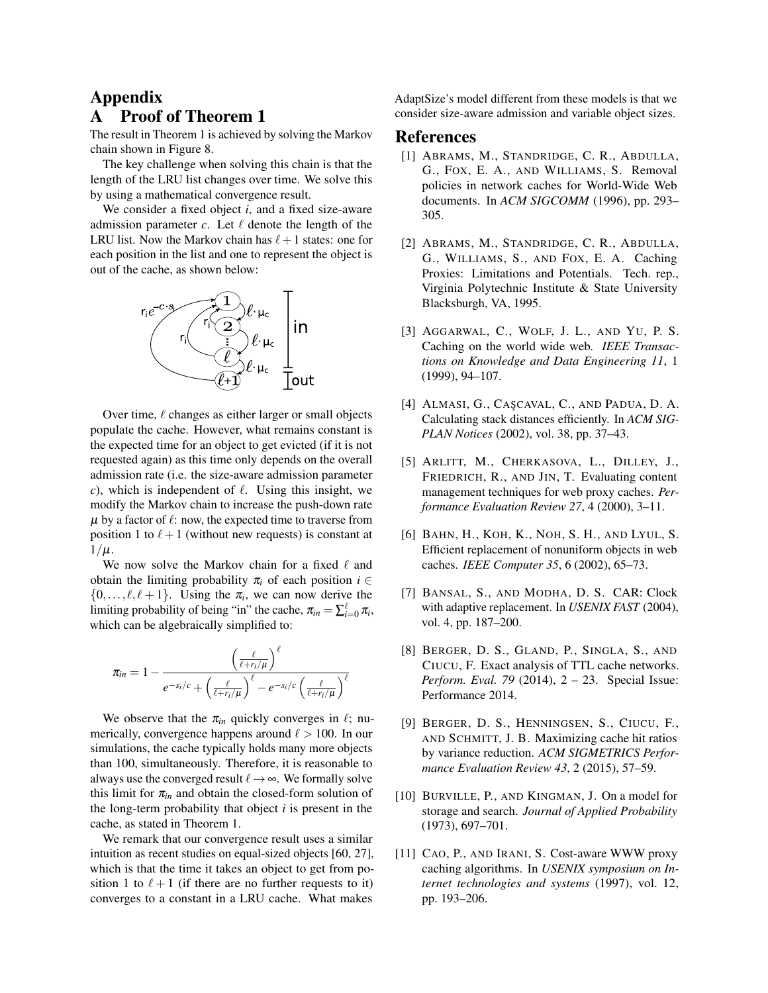# <span id="page-12-1"></span>Appendix **Proof of Theorem [1](#page-5-2)**

The result in Theorem [1](#page-5-2) is achieved by solving the Markov chain shown in Figure [8.](#page-4-3)

The key challenge when solving this chain is that the length of the LRU list changes over time. We solve this by using a mathematical convergence result.

We consider a fixed object *i*, and a fixed size-aware admission parameter  $c$ . Let  $\ell$  denote the length of the LRU list. Now the Markov chain has  $\ell+1$  states: one for each position in the list and one to represent the object is out of the cache, as shown below:



Over time,  $\ell$  changes as either larger or small objects populate the cache. However, what remains constant is the expected time for an object to get evicted (if it is not requested again) as this time only depends on the overall admission rate (i.e. the size-aware admission parameter *c*), which is independent of  $\ell$ . Using this insight, we modify the Markov chain to increase the push-down rate  $\mu$  by a factor of  $\ell$ : now, the expected time to traverse from position 1 to  $\ell+1$  (without new requests) is constant at  $1/\mu$ .

We now solve the Markov chain for a fixed  $\ell$  and obtain the limiting probability  $\pi_i$  of each position  $i \in$  $\{0, \ldots, \ell, \ell + 1\}$ . Using the  $\pi_i$ , we can now derive the limiting probability of being "in" the cache,  $\pi_{in} = \sum_{i=0}^{\ell} \pi_i$ , which can be algebraically simplified to:

$$
\pi_{in}=1-\frac{\left(\frac{\ell}{\ell+r_i/\mu}\right)^{\ell}}{e^{-s_i/c}+\left(\frac{\ell}{\ell+r_i/\mu}\right)^{\ell}-e^{-s_i/c}\left(\frac{\ell}{\ell+r_i/\mu}\right)^{\ell}}
$$

We observe that the  $\pi_{in}$  quickly converges in  $\ell$ ; numerically, convergence happens around  $\ell > 100$ . In our simulations, the cache typically holds many more objects than 100, simultaneously. Therefore, it is reasonable to always use the converged result  $\ell \rightarrow \infty$ . We formally solve this limit for  $\pi_{in}$  and obtain the closed-form solution of the long-term probability that object *i* is present in the cache, as stated in Theorem [1.](#page-5-2)

We remark that our convergence result uses a similar intuition as recent studies on equal-sized objects [\[60,](#page-14-25) [27\]](#page-13-24), which is that the time it takes an object to get from position 1 to  $\ell + 1$  (if there are no further requests to it) converges to a constant in a LRU cache. What makes

AdaptSize's model different from these models is that we consider size-aware admission and variable object sizes.

## <span id="page-12-8"></span>References

- [1] ABRAMS, M., STANDRIDGE, C. R., ABDULLA, G., FOX, E. A., AND WILLIAMS, S. Removal policies in network caches for World-Wide Web documents. In *ACM SIGCOMM* (1996), pp. 293– 305.
- <span id="page-12-2"></span>[2] ABRAMS, M., STANDRIDGE, C. R., ABDULLA, G., WILLIAMS, S., AND FOX, E. A. Caching Proxies: Limitations and Potentials. Tech. rep., Virginia Polytechnic Institute & State University Blacksburgh, VA, 1995.
- <span id="page-12-6"></span>[3] AGGARWAL, C., WOLF, J. L., AND YU, P. S. Caching on the world wide web. *IEEE Transactions on Knowledge and Data Engineering 11*, 1 (1999), 94–107.
- <span id="page-12-10"></span>[4] ALMASI, G., CAŞCAVAL, C., AND PADUA, D. A. Calculating stack distances efficiently. In *ACM SIG-PLAN Notices* (2002), vol. 38, pp. 37–43.
- <span id="page-12-5"></span>[5] ARLITT, M., CHERKASOVA, L., DILLEY, J., FRIEDRICH, R., AND JIN, T. Evaluating content management techniques for web proxy caches. *Performance Evaluation Review 27*, 4 (2000), 3–11.
- <span id="page-12-4"></span>[6] BAHN, H., KOH, K., NOH, S. H., AND LYUL, S. Efficient replacement of nonuniform objects in web caches. *IEEE Computer 35*, 6 (2002), 65–73.
- <span id="page-12-3"></span>[7] BANSAL, S., AND MODHA, D. S. CAR: Clock with adaptive replacement. In *USENIX FAST* (2004), vol. 4, pp. 187–200.
- <span id="page-12-11"></span>[8] BERGER, D. S., GLAND, P., SINGLA, S., AND CIUCU, F. Exact analysis of TTL cache networks. *Perform. Eval. 79* (2014), 2 – 23. Special Issue: Performance 2014.
- <span id="page-12-9"></span>[9] BERGER, D. S., HENNINGSEN, S., CIUCU, F., AND SCHMITT, J. B. Maximizing cache hit ratios by variance reduction. *ACM SIGMETRICS Performance Evaluation Review 43*, 2 (2015), 57–59.
- <span id="page-12-0"></span>[10] BURVILLE, P., AND KINGMAN, J. On a model for storage and search. *Journal of Applied Probability* (1973), 697–701.
- <span id="page-12-7"></span>[11] CAO, P., AND IRANI, S. Cost-aware WWW proxy caching algorithms. In *USENIX symposium on Internet technologies and systems* (1997), vol. 12, pp. 193–206.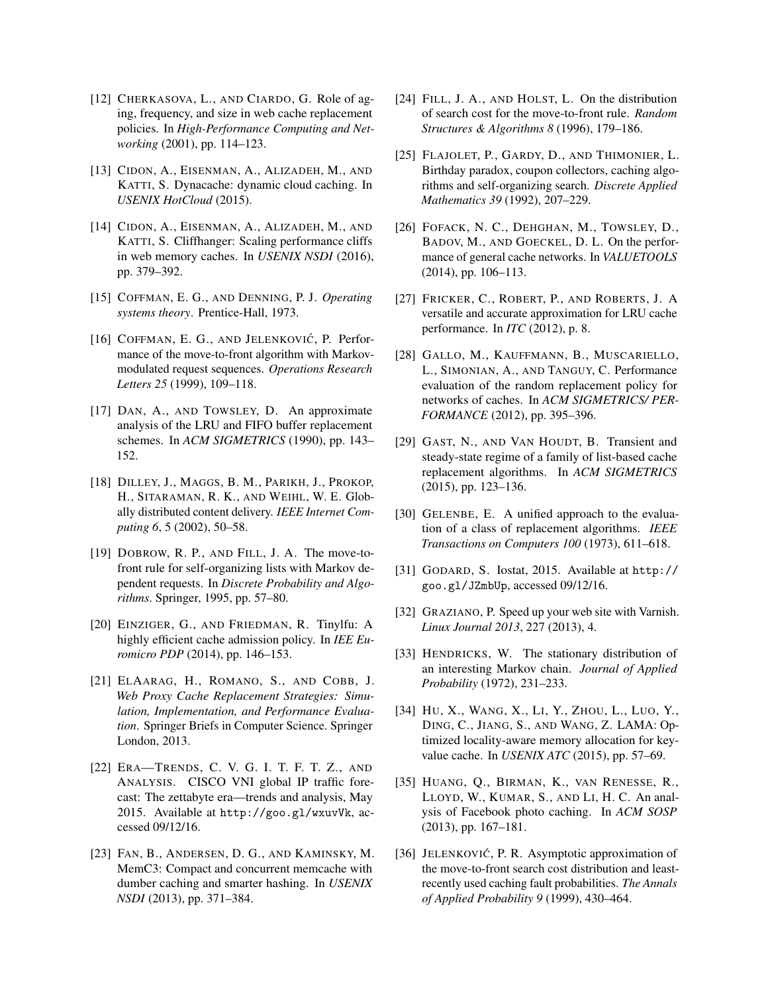- <span id="page-13-19"></span>[12] CHERKASOVA, L., AND CIARDO, G. Role of aging, frequency, and size in web cache replacement policies. In *High-Performance Computing and Networking* (2001), pp. 114–123.
- <span id="page-13-15"></span>[13] CIDON, A., EISENMAN, A., ALIZADEH, M., AND KATTI, S. Dynacache: dynamic cloud caching. In *USENIX HotCloud* (2015).
- <span id="page-13-12"></span>[14] CIDON, A., EISENMAN, A., ALIZADEH, M., AND KATTI, S. Cliffhanger: Scaling performance cliffs in web memory caches. In *USENIX NSDI* (2016), pp. 379–392.
- <span id="page-13-4"></span>[15] COFFMAN, E. G., AND DENNING, P. J. *Operating systems theory*. Prentice-Hall, 1973.
- <span id="page-13-22"></span>[16] COFFMAN, E. G., AND JELENKOVIĆ, P. Performance of the move-to-front algorithm with Markovmodulated request sequences. *Operations Research Letters 25* (1999), 109–118.
- <span id="page-13-20"></span>[17] DAN, A., AND TOWSLEY, D. An approximate analysis of the LRU and FIFO buffer replacement schemes. In *ACM SIGMETRICS* (1990), pp. 143– 152.
- <span id="page-13-0"></span>[18] DILLEY, J., MAGGS, B. M., PARIKH, J., PROKOP, H., SITARAMAN, R. K., AND WEIHL, W. E. Globally distributed content delivery. *IEEE Internet Computing 6*, 5 (2002), 50–58.
- <span id="page-13-8"></span>[19] DOBROW, R. P., AND FILL, J. A. The move-tofront rule for self-organizing lists with Markov dependent requests. In *Discrete Probability and Algorithms*. Springer, 1995, pp. 57–80.
- <span id="page-13-16"></span>[20] EINZIGER, G., AND FRIEDMAN, R. Tinylfu: A highly efficient cache admission policy. In *IEE Euromicro PDP* (2014), pp. 146–153.
- <span id="page-13-2"></span>[21] ELAARAG, H., ROMANO, S., AND COBB, J. *Web Proxy Cache Replacement Strategies: Simulation, Implementation, and Performance Evaluation*. Springer Briefs in Computer Science. Springer London, 2013.
- <span id="page-13-1"></span>[22] ERA—TRENDS, C. V. G. I. T. F. T. Z., AND ANALYSIS. CISCO VNI global IP traffic forecast: The zettabyte era—trends and analysis, May 2015. Available at <http://goo.gl/wxuvVk>, accessed 09/12/16.
- <span id="page-13-17"></span>[23] FAN, B., ANDERSEN, D. G., AND KAMINSKY, M. MemC3: Compact and concurrent memcache with dumber caching and smarter hashing. In *USENIX NSDI* (2013), pp. 371–384.
- <span id="page-13-7"></span>[24] FILL, J. A., AND HOLST, L. On the distribution of search cost for the move-to-front rule. *Random Structures & Algorithms 8* (1996), 179–186.
- <span id="page-13-6"></span>[25] FLAJOLET, P., GARDY, D., AND THIMONIER, L. Birthday paradox, coupon collectors, caching algorithms and self-organizing search. *Discrete Applied Mathematics 39* (1992), 207–229.
- <span id="page-13-10"></span>[26] FOFACK, N. C., DEHGHAN, M., TOWSLEY, D., BADOV, M., AND GOECKEL, D. L. On the performance of general cache networks. In *VALUETOOLS* (2014), pp. 106–113.
- <span id="page-13-24"></span>[27] FRICKER, C., ROBERT, P., AND ROBERTS, J. A versatile and accurate approximation for LRU cache performance. In *ITC* (2012), p. 8.
- <span id="page-13-23"></span>[28] GALLO, M., KAUFFMANN, B., MUSCARIELLO, L., SIMONIAN, A., AND TANGUY, C. Performance evaluation of the random replacement policy for networks of caches. In *ACM SIGMETRICS/ PER-FORMANCE* (2012), pp. 395–396.
- <span id="page-13-13"></span>[29] GAST, N., AND VAN HOUDT, B. Transient and steady-state regime of a family of list-based cache replacement algorithms. In *ACM SIGMETRICS* (2015), pp. 123–136.
- <span id="page-13-3"></span>[30] GELENBE, E. A unified approach to the evaluation of a class of replacement algorithms. *IEEE Transactions on Computers 100* (1973), 611–618.
- <span id="page-13-11"></span>[31] GODARD, S. Iostat, 2015. Available at [http://](http://goo.gl/JZmbUp) [goo.gl/JZmbUp](http://goo.gl/JZmbUp), accessed 09/12/16.
- <span id="page-13-9"></span>[32] GRAZIANO, P. Speed up your web site with Varnish. *Linux Journal 2013*, 227 (2013), 4.
- <span id="page-13-5"></span>[33] HENDRICKS, W. The stationary distribution of an interesting Markov chain. *Journal of Applied Probability* (1972), 231–233.
- <span id="page-13-14"></span>[34] HU, X., WANG, X., LI, Y., ZHOU, L., LUO, Y., DING, C., JIANG, S., AND WANG, Z. LAMA: Optimized locality-aware memory allocation for keyvalue cache. In *USENIX ATC* (2015), pp. 57–69.
- <span id="page-13-18"></span>[35] HUANG, Q., BIRMAN, K., VAN RENESSE, R., LLOYD, W., KUMAR, S., AND LI, H. C. An analysis of Facebook photo caching. In *ACM SOSP* (2013), pp. 167–181.
- <span id="page-13-21"></span>[36] JELENKOVIĆ, P. R. Asymptotic approximation of the move-to-front search cost distribution and leastrecently used caching fault probabilities. *The Annals of Applied Probability 9* (1999), 430–464.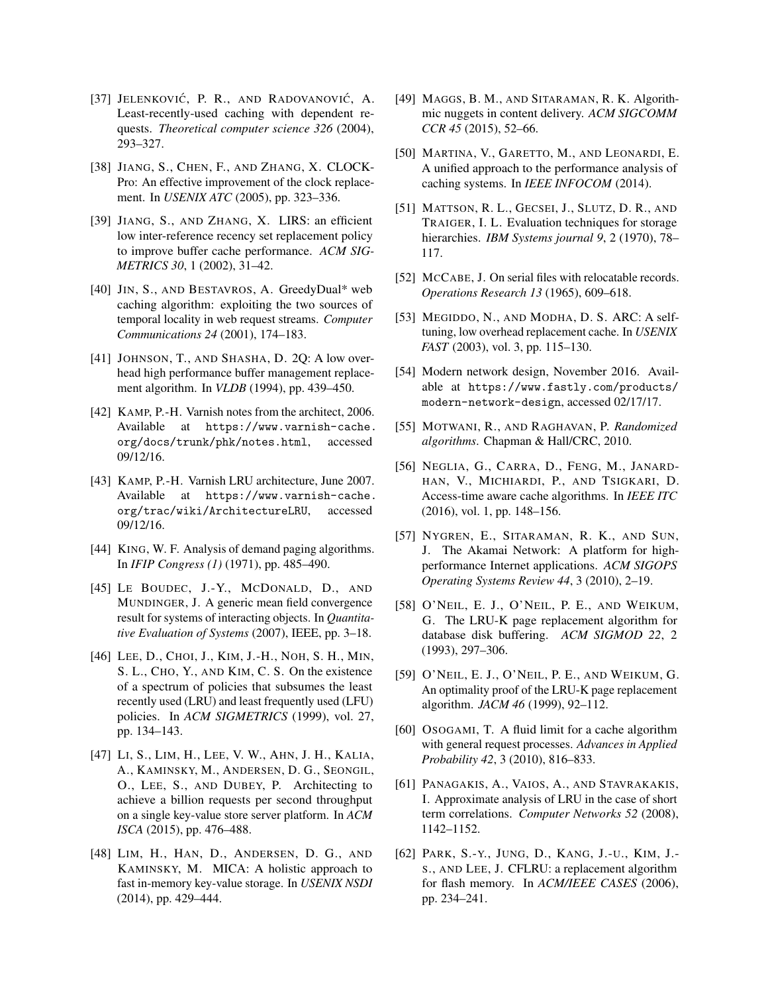- <span id="page-14-21"></span>[37] JELENKOVIĆ, P. R., AND RADOVANOVIĆ, A. Least-recently-used caching with dependent requests. *Theoretical computer science 326* (2004), 293–327.
- <span id="page-14-14"></span>[38] JIANG, S., CHEN, F., AND ZHANG, X. CLOCK-Pro: An effective improvement of the clock replacement. In *USENIX ATC* (2005), pp. 323–336.
- <span id="page-14-15"></span>[39] JIANG, S., AND ZHANG, X. LIRS: an efficient low inter-reference recency set replacement policy to improve buffer cache performance. *ACM SIG-METRICS 30*, 1 (2002), 31–42.
- <span id="page-14-16"></span>[40] JIN, S., AND BESTAVROS, A. GreedyDual\* web caching algorithm: exploiting the two sources of temporal locality in web request streams. *Computer Communications 24* (2001), 174–183.
- <span id="page-14-18"></span>[41] JOHNSON, T., AND SHASHA, D. 2Q: A low overhead high performance buffer management replacement algorithm. In *VLDB* (1994), pp. 439–450.
- <span id="page-14-3"></span>[42] KAMP, P.-H. Varnish notes from the architect, 2006. Available at [https://www.varnish-cache.](https://www.varnish-cache.org/docs/trunk/phk/notes.html) [org/docs/trunk/phk/notes.html](https://www.varnish-cache.org/docs/trunk/phk/notes.html), accessed 09/12/16.
- <span id="page-14-2"></span>[43] KAMP, P.-H. Varnish LRU architecture, June 2007. Available at [https://www.varnish-cache.](https://www.varnish-cache.org/trac/wiki/ArchitectureLRU) [org/trac/wiki/ArchitectureLRU](https://www.varnish-cache.org/trac/wiki/ArchitectureLRU), accessed 09/12/16.
- <span id="page-14-6"></span>[44] KING, W. F. Analysis of demand paging algorithms. In *IFIP Congress (1)* (1971), pp. 485–490.
- <span id="page-14-8"></span>[45] LE BOUDEC, J.-Y., MCDONALD, D., AND MUNDINGER, J. A generic mean field convergence result for systems of interacting objects. In *Quantitative Evaluation of Systems* (2007), IEEE, pp. 3–18.
- <span id="page-14-17"></span>[46] LEE, D., CHOI, J., KIM, J.-H., NOH, S. H., MIN, S. L., CHO, Y., AND KIM, C. S. On the existence of a spectrum of policies that subsumes the least recently used (LRU) and least frequently used (LFU) policies. In *ACM SIGMETRICS* (1999), vol. 27, pp. 134–143.
- <span id="page-14-11"></span>[47] LI, S., LIM, H., LEE, V. W., AHN, J. H., KALIA, A., KAMINSKY, M., ANDERSEN, D. G., SEONGIL, O., LEE, S., AND DUBEY, P. Architecting to achieve a billion requests per second throughput on a single key-value store server platform. In *ACM ISCA* (2015), pp. 476–488.
- <span id="page-14-12"></span>[48] LIM, H., HAN, D., ANDERSEN, D. G., AND KAMINSKY, M. MICA: A holistic approach to fast in-memory key-value storage. In *USENIX NSDI* (2014), pp. 429–444.
- <span id="page-14-9"></span>[49] MAGGS, B. M., AND SITARAMAN, R. K. Algorithmic nuggets in content delivery. *ACM SIGCOMM CCR 45* (2015), 52–66.
- <span id="page-14-24"></span>[50] MARTINA, V., GARETTO, M., AND LEONARDI, E. A unified approach to the performance analysis of caching systems. In *IEEE INFOCOM* (2014).
- <span id="page-14-20"></span>[51] MATTSON, R. L., GECSEI, J., SLUTZ, D. R., AND TRAIGER, I. L. Evaluation techniques for storage hierarchies. *IBM Systems journal 9*, 2 (1970), 78– 117.
- <span id="page-14-7"></span>[52] MCCABE, J. On serial files with relocatable records. *Operations Research 13* (1965), 609–618.
- <span id="page-14-4"></span>[53] MEGIDDO, N., AND MODHA, D. S. ARC: A selftuning, low overhead replacement cache. In *USENIX FAST* (2003), vol. 3, pp. 115–130.
- <span id="page-14-1"></span>[54] Modern network design, November 2016. Available at [https://www.fastly.com/products/](https://www.fastly.com/products/modern-network-design) [modern-network-design](https://www.fastly.com/products/modern-network-design), accessed 02/17/17.
- <span id="page-14-5"></span>[55] MOTWANI, R., AND RAGHAVAN, P. *Randomized algorithms*. Chapman & Hall/CRC, 2010.
- <span id="page-14-10"></span>[56] NEGLIA, G., CARRA, D., FENG, M., JANARD-HAN, V., MICHIARDI, P., AND TSIGKARI, D. Access-time aware cache algorithms. In *IEEE ITC* (2016), vol. 1, pp. 148–156.
- <span id="page-14-0"></span>[57] NYGREN, E., SITARAMAN, R. K., AND SUN, J. The Akamai Network: A platform for highperformance Internet applications. *ACM SIGOPS Operating Systems Review 44*, 3 (2010), 2–19.
- <span id="page-14-19"></span>[58] O'NEIL, E. J., O'NEIL, P. E., AND WEIKUM, G. The LRU-K page replacement algorithm for database disk buffering. *ACM SIGMOD 22*, 2 (1993), 297–306.
- <span id="page-14-23"></span>[59] O'NEIL, E. J., O'NEIL, P. E., AND WEIKUM, G. An optimality proof of the LRU-K page replacement algorithm. *JACM 46* (1999), 92–112.
- <span id="page-14-25"></span>[60] OSOGAMI, T. A fluid limit for a cache algorithm with general request processes. *Advances in Applied Probability 42*, 3 (2010), 816–833.
- <span id="page-14-22"></span>[61] PANAGAKIS, A., VAIOS, A., AND STAVRAKAKIS, I. Approximate analysis of LRU in the case of short term correlations. *Computer Networks 52* (2008), 1142–1152.
- <span id="page-14-13"></span>[62] PARK, S.-Y., JUNG, D., KANG, J.-U., KIM, J.- S., AND LEE, J. CFLRU: a replacement algorithm for flash memory. In *ACM/IEEE CASES* (2006), pp. 234–241.